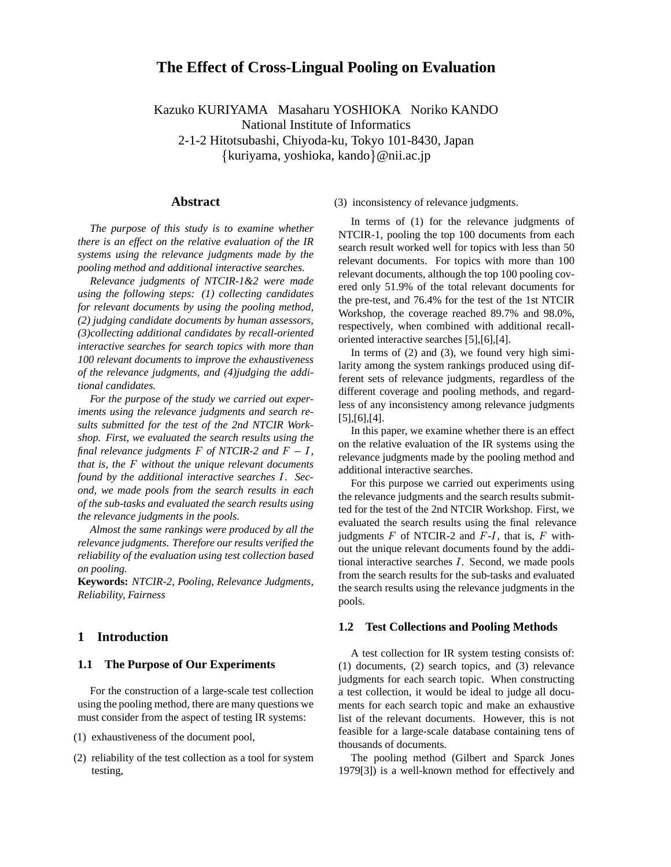# **The Effect of Cross-Lingual Pooling on Evaluation**

Kazuko KURIYAMA Masaharu YOSHIOKA Noriko KANDO

National Institute of Informatics

2-1-2 Hitotsubashi, Chiyoda-ku, Tokyo 101-8430, Japan

{kuriyama, yoshioka, kando}@nii.ac.jp

#### **Abstract**

*The purpose of this study is to examine whether there is an effect on the relative evaluation of the IR systems using the relevance judgments made by the pooling method and additional interactive searches.*

*Relevance judgments of NTCIR-1&2 were made using the following steps: (1) collecting candidates for relevant documents by using the pooling method, (2) judging candidate documents by human assessors, (3)collecting additional candidates by recall-oriented interactive searches for search topics with more than 100 relevant documents to improve the exhaustiveness of the relevance judgments, and (4)judging the additional candidates.*

*For the purpose of the study we carried out experiments using the relevance judgments and search results submitted for the test of the 2nd NTCIR Workshop. First, we evaluated the search results using the final relevance judgments*  $F$  *of NTCIR-2 and*  $F - I$ *, that is, the* <sup>F</sup> *without the unique relevant documents found by the additional interactive searches I. Second, we made pools from the search results in each of the sub-tasks and evaluated the search results using the relevance judgments in the pools.*

*Almost the same rankings were produced by all the relevance judgments. Therefore our results verified the reliability of the evaluation using test collection based on pooling.*

**Keywords:** *NTCIR-2, Pooling, Relevance Judgments, Reliability, Fairness*

### **1 Introduction**

#### **1.1 The Purpose of Our Experiments**

For the construction of a large-scale test collection using the pooling method, there are many questions we must consider from the aspect of testing IR systems:

- (1) exhaustiveness of the document pool,
- (2) reliability of the test collection as a tool for system testing,

(3) inconsistency of relevance judgments.

In terms of (1) for the relevance judgments of NTCIR-1, pooling the top 100 documents from each search result worked well for topics with less than 50 relevant documents. For topics with more than 100 relevant documents, although the top 100 pooling covered only 51.9% of the total relevant documents for the pre-test, and 76.4% for the test of the 1st NTCIR Workshop, the coverage reached 89.7% and 98.0%, respectively, when combined with additional recalloriented interactive searches [5],[6],[4].

In terms of  $(2)$  and  $(3)$ , we found very high similarity among the system rankings produced using different sets of relevance judgments, regardless of the different coverage and pooling methods, and regardless of any inconsistency among relevance judgments [5],[6],[4].

In this paper, we examine whether there is an effect on the relative evaluation of the IR systems using the relevance judgments made by the pooling method and additional interactive searches.

For this purpose we carried out experiments using the relevance judgments and the search results submitted for the test of the 2nd NTCIR Workshop. First, we evaluated the search results using the final relevance judgments  $F$  of NTCIR-2 and  $F-I$ , that is,  $F$  without the unique relevant documents found by the additional interactive searches  $I$ . Second, we made pools from the search results for the sub-tasks and evaluated the search results using the relevance judgments in the pools.

#### **1.2 Test Collections and Pooling Methods**

A test collection for IR system testing consists of: (1) documents, (2) search topics, and (3) relevance judgments for each search topic. When constructing a test collection, it would be ideal to judge all documents for each search topic and make an exhaustive list of the relevant documents. However, this is not feasible for a large-scale database containing tens of thousands of documents.

The pooling method (Gilbert and Sparck Jones 1979[3]) is a well-known method for effectively and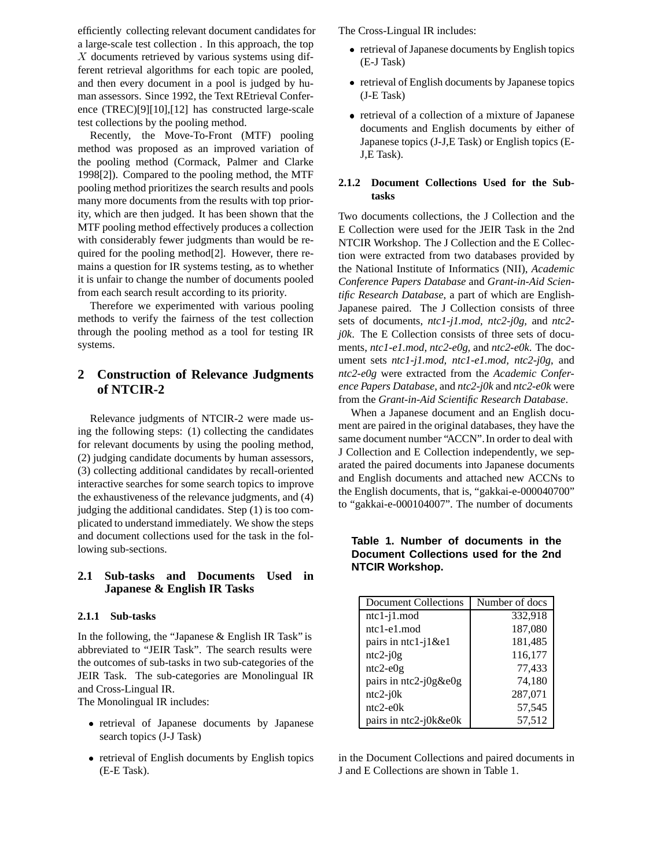efficiently collecting relevant document candidates for a large-scale test collection . In this approach, the top  $X$  documents retrieved by various systems using different retrieval algorithms for each topic are pooled, and then every document in a pool is judged by human assessors. Since 1992, the Text REtrieval Conference (TREC)[9][10],[12] has constructed large-scale test collections by the pooling method.

Recently, the Move-To-Front (MTF) pooling method was proposed as an improved variation of the pooling method (Cormack, Palmer and Clarke 1998[2]). Compared to the pooling method, the MTF pooling method prioritizes the search results and pools many more documents from the results with top priority, which are then judged. It has been shown that the MTF pooling method effectively produces a collection with considerably fewer judgments than would be required for the pooling method[2]. However, there remains a question for IR systems testing, as to whether it is unfair to change the number of documents pooled from each search result according to its priority.

Therefore we experimented with various pooling methods to verify the fairness of the test collection through the pooling method as a tool for testing IR systems.

# **2 Construction of Relevance Judgments of NTCIR-2**

Relevance judgments of NTCIR-2 were made using the following steps: (1) collecting the candidates for relevant documents by using the pooling method, (2) judging candidate documents by human assessors, (3) collecting additional candidates by recall-oriented interactive searches for some search topics to improve the exhaustiveness of the relevance judgments, and (4) judging the additional candidates. Step (1) is too complicated to understand immediately. We show the steps and document collections used for the task in the following sub-sections.

## **2.1 Sub-tasks and Documents Used in Japanese & English IR Tasks**

#### **2.1.1 Sub-tasks**

In the following, the "Japanese & English IR Task" is abbreviated to "JEIR Task". The search results were the outcomes of sub-tasks in two sub-categories of the JEIR Task. The sub-categories are Monolingual IR and Cross-Lingual IR.

The Monolingual IR includes:

- retrieval of Japanese documents by Japanese search topics (J-J Task)
- retrieval of English documents by English topics (E-E Task).

The Cross-Lingual IR includes:

- retrieval of Japanese documents by English topics (E-J Task)
- retrieval of English documents by Japanese topics (J-E Task)
- retrieval of a collection of a mixture of Japanese documents and English documents by either of Japanese topics (J-J,E Task) or English topics (E-J,E Task).

### **2.1.2 Document Collections Used for the Subtasks**

Two documents collections, the J Collection and the E Collection were used for the JEIR Task in the 2nd NTCIR Workshop. The J Collection and the E Collection were extracted from two databases provided by the National Institute of Informatics (NII), *Academic Conference Papers Database* and *Grant-in-Aid Scientific Research Database*, a part of which are English-Japanese paired. The J Collection consists of three sets of documents, *ntc1-j1.mod, ntc2-j0g,* and *ntc2 j0k*. The E Collection consists of three sets of documents, *ntc1-e1.mod, ntc2-e0g,* and *ntc2-e0k*. The document sets *ntc1-j1.mod, ntc1-e1.mod, ntc2-j0g*, and *ntc2-e0g* were extracted from the *Academic Conference Papers Database*, and *ntc2-j0k* and *ntc2-e0k* were from the *Grant-in-Aid Scientific Research Database*.

When a Japanese document and an English document are paired in the original databases, they have the same document number "ACCN".In order to deal with J Collection and E Collection independently, we separated the paired documents into Japanese documents and English documents and attached new ACCNs to the English documents, that is, "gakkai-e-000040700" to "gakkai-e-000104007". The number of documents

# **Table 1. Number of documents in the Document Collections used for the 2nd NTCIR Workshop.**

| Document Collections   | Number of docs |
|------------------------|----------------|
| $ntc1-j1$ . $mod$      | 332,918        |
| ntc1-e1.mod            | 187,080        |
| pairs in $ntc1-i1$ &e1 | 181,485        |
| $ntc2-i0g$             | 116,177        |
| $ntc2-e0g$             | 77,433         |
| pairs in ntc2-j0g&e0g  | 74,180         |
| $ntc2-i0k$             | 287,071        |
| $ntc2-e0k$             | 57,545         |
| pairs in ntc2-j0k&e0k  | 57,512         |

in the Document Collections and paired documents in J and E Collections are shown in Table 1.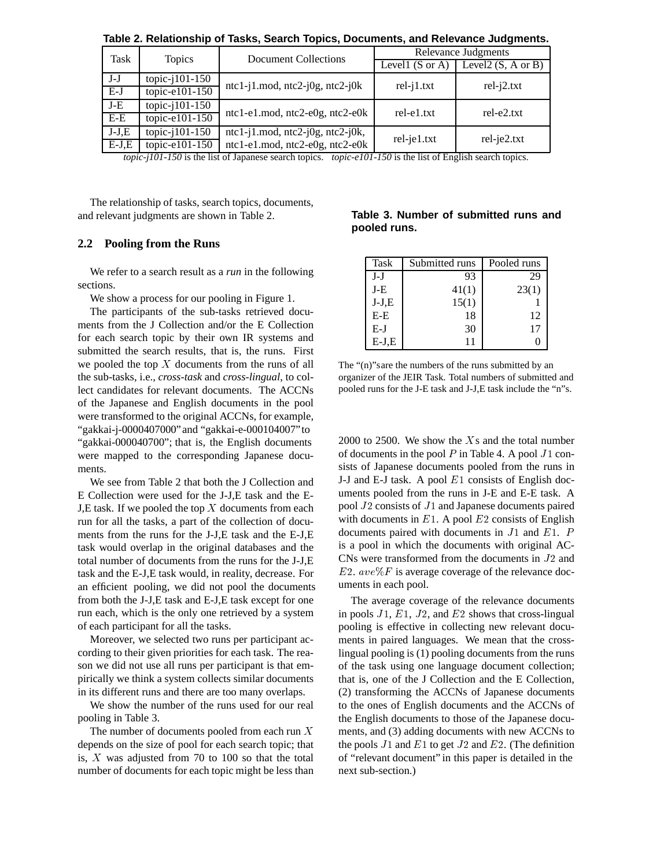| Task    | <b>Topics</b>     | <b>Document Collections</b>             |                            | Relevance Judgments     |
|---------|-------------------|-----------------------------------------|----------------------------|-------------------------|
|         |                   |                                         | Levell $(S \text{ or } A)$ | Level $($ S, A or B $)$ |
| $J-J$   | topic- $101-150$  | $ntc1-i1$ .mod, $ntc2-i0g$ , $ntc2-i0k$ |                            |                         |
| $E-J$   | topic-e101-150    |                                         | $rel-j1.txt$               | $rel-i2.txt$            |
| $J-E$   | topic- $i101-150$ |                                         | rel-e1.txt                 | rel-e2.txt              |
| E-E     | topic-e $101-150$ | $ntc1-e1$ .mod, $ntc2-e0g$ , $ntc2-e0k$ |                            |                         |
| $J-J,E$ | topic- $i101-150$ | $ntc1-j1 \mod, ntc2-j0g, ntc2-j0k,$     |                            |                         |
| $E-J,E$ | topic-e101-150    | $ntc1-e1$ .mod, $ntc2-e0g$ , $ntc2-e0k$ | rel-je1.txt                | $rel-je2.txt$           |

**Table 2. Relationship of Tasks, Search Topics, Documents, and Relevance Judgments.**

*topic-j101-150* is the list of Japanese search topics. *topic-e101-150* is the list of English search topics.

The relationship of tasks, search topics, documents, and relevant judgments are shown in Table 2.

#### **2.2 Pooling from the Runs**

We refer to a search result as a *run* in the following sections.

We show a process for our pooling in Figure 1.

The participants of the sub-tasks retrieved documents from the J Collection and/or the E Collection for each search topic by their own IR systems and submitted the search results, that is, the runs. First we pooled the top  $X$  documents from the runs of all the sub-tasks, i.e., *cross-task* and *cross-lingual*, to collect candidates for relevant documents. The ACCNs of the Japanese and English documents in the pool were transformed to the original ACCNs, for example, "gakkai-j-0000407000"and "gakkai-e-000104007"to "gakkai-000040700"; that is, the English documents were mapped to the corresponding Japanese documents.

We see from Table 2 that both the J Collection and E Collection were used for the J-J,E task and the E-J, E task. If we pooled the top  $X$  documents from each run for all the tasks, a part of the collection of documents from the runs for the J-J,E task and the E-J,E task would overlap in the original databases and the total number of documents from the runs for the J-J,E task and the E-J,E task would, in reality, decrease. For an efficient pooling, we did not pool the documents from both the J-J,E task and E-J,E task except for one run each, which is the only one retrieved by a system of each participant for all the tasks.

Moreover, we selected two runs per participant according to their given priorities for each task. The reason we did not use all runs per participant is that empirically we think a system collects similar documents in its different runs and there are too many overlaps.

We show the number of the runs used for our real pooling in Table 3.

The number of documents pooled from each run <sup>X</sup> depends on the size of pool for each search topic; that is,  $X$  was adjusted from 70 to 100 so that the total number of documents for each topic might be less than

| Table 3. Number of submitted runs and |  |  |
|---------------------------------------|--|--|
| pooled runs.                          |  |  |

| <b>Task</b> | Submitted runs | Pooled runs |
|-------------|----------------|-------------|
| $J-J$       | 93             | 29          |
| J-E         | 41(1)          | 23(1)       |
| $J-J,E$     | 15(1)          |             |
| $E-E$       | 18             | 12          |
| E-J         | 30             | 17          |
| $E-J.E$     | 11             |             |

The "(n)"sare the numbers of the runs submitted by an organizer of the JEIR Task. Total numbers of submitted and pooled runs for the J-E task and J-J,E task include the "n"s.

2000 to 2500. We show the  $X_s$  and the total number of documents in the pool  $P$  in Table 4. A pool  $J1$  consists of Japanese documents pooled from the runs in J-J and E-J task. A pool E1 consists of English documents pooled from the runs in J-E and E-E task. A pool  $J2$  consists of  $J1$  and Japanese documents paired with documents in  $E1$ . A pool  $E2$  consists of English documents paired with documents in  $J1$  and  $E1$ . P is a pool in which the documents with original AC-CNs were transformed from the documents in  $J2$  and E2.  $ave\%F$  is average coverage of the relevance documents in each pool.

The average coverage of the relevance documents in pools  $J1$ ,  $E1$ ,  $J2$ , and  $E2$  shows that cross-lingual pooling is effective in collecting new relevant documents in paired languages. We mean that the crosslingual pooling is (1) pooling documents from the runs of the task using one language document collection; that is, one of the J Collection and the E Collection, (2) transforming the ACCNs of Japanese documents to the ones of English documents and the ACCNs of the English documents to those of the Japanese documents, and (3) adding documents with new ACCNs to the pools  $J1$  and  $E1$  to get  $J2$  and  $E2$ . (The definition of "relevant document" in this paper is detailed in the next sub-section.)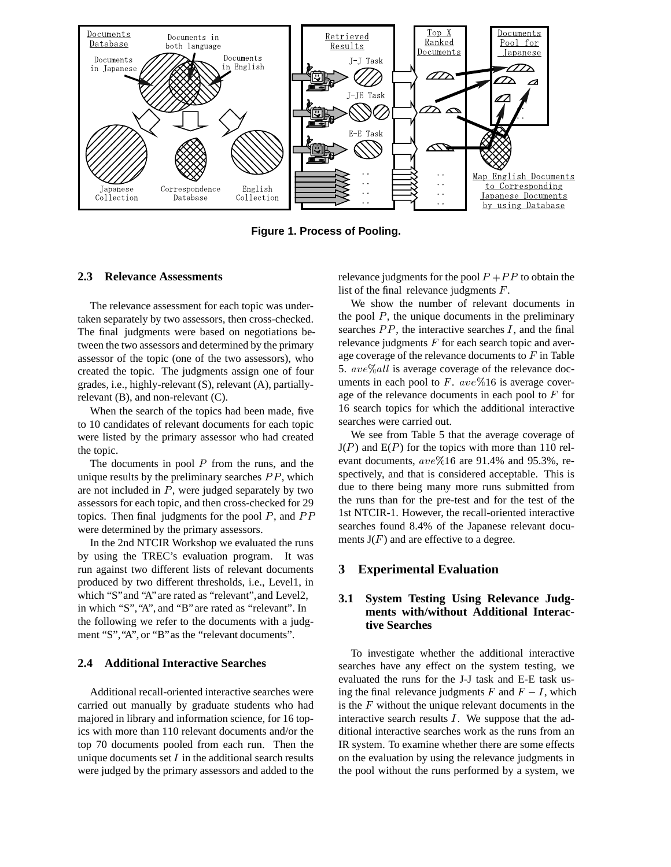

**Figure 1. Process of Pooling.**

#### **2.3 Relevance Assessments**

The relevance assessment for each topic was undertaken separately by two assessors, then cross-checked. The final judgments were based on negotiations between the two assessors and determined by the primary assessor of the topic (one of the two assessors), who created the topic. The judgments assign one of four grades, i.e., highly-relevant (S), relevant (A), partiallyrelevant (B), and non-relevant (C).

When the search of the topics had been made, five to 10 candidates of relevant documents for each topic were listed by the primary assessor who had created the topic.

The documents in pool  $P$  from the runs, and the unique results by the preliminary searches  $PP$ , which are not included in  $P$ , were judged separately by two assessors for each topic, and then cross-checked for 29 topics. Then final judgments for the pool  $P$ , and  $PP$ were determined by the primary assessors.

In the 2nd NTCIR Workshop we evaluated the runs by using the TREC's evaluation program. It was run against two different lists of relevant documents produced by two different thresholds, i.e., Level1, in which "S"and "A"are rated as "relevant",and Level2, in which "S","A", and "B"are rated as "relevant". In the following we refer to the documents with a judgment "S","A", or "B"as the "relevant documents".

#### **2.4 Additional Interactive Searches**

Additional recall-oriented interactive searches were carried out manually by graduate students who had majored in library and information science, for 16 topics with more than 110 relevant documents and/or the top 70 documents pooled from each run. Then the unique documents set  $I$  in the additional search results were judged by the primary assessors and added to the relevance judgments for the pool  $P + PP$  to obtain the list of the final relevance judgments  $F$ .

We show the number of relevant documents in the pool  $P$ , the unique documents in the preliminary searches  $PP$ , the interactive searches  $I$ , and the final relevance judgments  $F$  for each search topic and average coverage of the relevance documents to  $F$  in Table 5.  $ave\%all$  is average coverage of the relevance documents in each pool to F.  $ave\%16$  is average coverage of the relevance documents in each pool to  $F$  for 16 search topics for which the additional interactive searches were carried out.

We see from Table 5 that the average coverage of  $J(P)$  and  $E(P)$  for the topics with more than 110 relevant documents,  $ave\%16$  are 91.4% and 95.3%, respectively, and that is considered acceptable. This is due to there being many more runs submitted from the runs than for the pre-test and for the test of the 1st NTCIR-1. However, the recall-oriented interactive searches found 8.4% of the Japanese relevant documents  $J(F)$  and are effective to a degree.

### **3 Experimental Evaluation**

## **3.1 System Testing Using Relevance Judgments with/without Additional Interactive Searches**

To investigate whether the additional interactive searches have any effect on the system testing, we evaluated the runs for the J-J task and E-E task using the final relevance judgments  $F$  and  $F - I$ , which is the  $F$  without the unique relevant documents in the interactive search results  $I$ . We suppose that the additional interactive searches work as the runs from an IR system. To examine whether there are some effects on the evaluation by using the relevance judgments in the pool without the runs performed by a system, we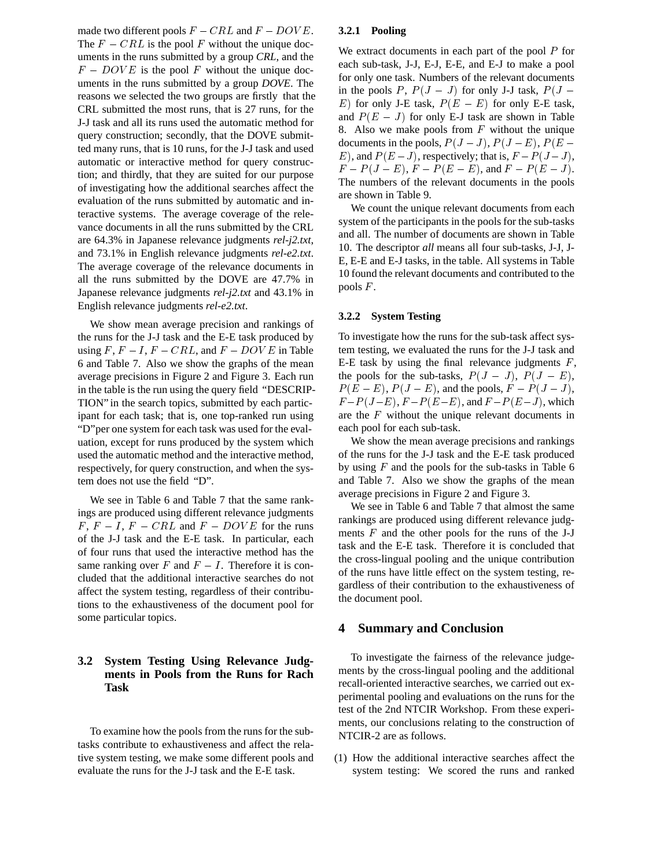made two different pools  $F - CRL$  and  $F - DOVE$ . The  $F - CRL$  is the pool F without the unique documents in the runs submitted by a group *CRL*, and the  $F - D OVE$  is the pool F without the unique documents in the runs submitted by a group *DOVE*. The reasons we selected the two groups are firstly that the CRL submitted the most runs, that is 27 runs, for the J-J task and all its runs used the automatic method for query construction; secondly, that the DOVE submitted many runs, that is 10 runs, for the J-J task and used automatic or interactive method for query construction; and thirdly, that they are suited for our purpose of investigating how the additional searches affect the evaluation of the runs submitted by automatic and interactive systems. The average coverage of the relevance documents in all the runs submitted by the CRL are 64.3% in Japanese relevance judgments *rel-j2.txt*, and 73.1% in English relevance judgments *rel-e2.txt*. The average coverage of the relevance documents in all the runs submitted by the DOVE are 47.7% in Japanese relevance judgments *rel-j2.txt* and 43.1% in English relevance judgments *rel-e2.txt*.

We show mean average precision and rankings of the runs for the J-J task and the E-E task produced by using  $F, F - I, F - CRL$ , and  $F - DOVE$  in Table 6 and Table 7. Also we show the graphs of the mean average precisions in Figure 2 and Figure 3. Each run in the table is the run using the query field "DESCRIP-TION" in the search topics, submitted by each participant for each task; that is, one top-ranked run using "D"per one system for each task was used for the evaluation, except for runs produced by the system which used the automatic method and the interactive method, respectively, for query construction, and when the system does not use the field "D".

We see in Table 6 and Table 7 that the same rankings are produced using different relevance judgments  $F, F - I, F - CRL$  and  $F - DOVE$  for the runs of the J-J task and the E-E task. In particular, each of four runs that used the interactive method has the same ranking over F and  $F - I$ . Therefore it is concluded that the additional interactive searches do not affect the system testing, regardless of their contributions to the exhaustiveness of the document pool for some particular topics.

## **3.2 System Testing Using Relevance Judgments in Pools from the Runs for Rach Task**

To examine how the pools from the runs for the subtasks contribute to exhaustiveness and affect the relative system testing, we make some different pools and evaluate the runs for the J-J task and the E-E task.

#### **3.2.1 Pooling**

We extract documents in each part of the pool P for each sub-task, J-J, E-J, E-E, and E-J to make a pool for only one task. Numbers of the relevant documents in the pools P,  $P(J - J)$  for only J-J task,  $P(J -$ E) for only J-E task,  $P(E - E)$  for only E-E task, and  $P(E - J)$  for only E-J task are shown in Table 8. Also we make pools from  $F$  without the unique documents in the pools,  $P(J-J)$ ,  $P(J-E)$ ,  $P(E-I)$ E), and  $P(E - J)$ , respectively; that is,  $F - P(J - J)$ ,  $F - P(J - E), F - P(E - E),$  and  $F - P(E - J).$ The numbers of the relevant documents in the pools are shown in Table 9.

We count the unique relevant documents from each system of the participants in the pools for the sub-tasks and all. The number of documents are shown in Table 10. The descriptor *all* means all four sub-tasks, J-J, J-E, E-E and E-J tasks, in the table. All systems in Table 10 found the relevant documents and contributed to the pools  $F$ .

#### **3.2.2 System Testing**

To investigate how the runs for the sub-task affect system testing, we evaluated the runs for the J-J task and E-E task by using the final relevance judgments  $F$ , the pools for the sub-tasks,  $P(J-J)$ ,  $P(J-E)$ ,  $P(E - E)$ ,  $P(J - E)$ , and the pools,  $F - P(J - J)$ ,  $F-P(J-E)$ ,  $F-P(E-E)$ , and  $F-P(E-J)$ , which are the  $F$  without the unique relevant documents in each pool for each sub-task.

We show the mean average precisions and rankings of the runs for the J-J task and the E-E task produced by using  $F$  and the pools for the sub-tasks in Table 6 and Table 7. Also we show the graphs of the mean average precisions in Figure 2 and Figure 3.

We see in Table 6 and Table 7 that almost the same rankings are produced using different relevance judgments  $F$  and the other pools for the runs of the J-J task and the E-E task. Therefore it is concluded that the cross-lingual pooling and the unique contribution of the runs have little effect on the system testing, regardless of their contribution to the exhaustiveness of the document pool.

#### **4 Summary and Conclusion**

To investigate the fairness of the relevance judgements by the cross-lingual pooling and the additional recall-oriented interactive searches, we carried out experimental pooling and evaluations on the runs for the test of the 2nd NTCIR Workshop. From these experiments, our conclusions relating to the construction of NTCIR-2 are as follows.

(1) How the additional interactive searches affect the system testing: We scored the runs and ranked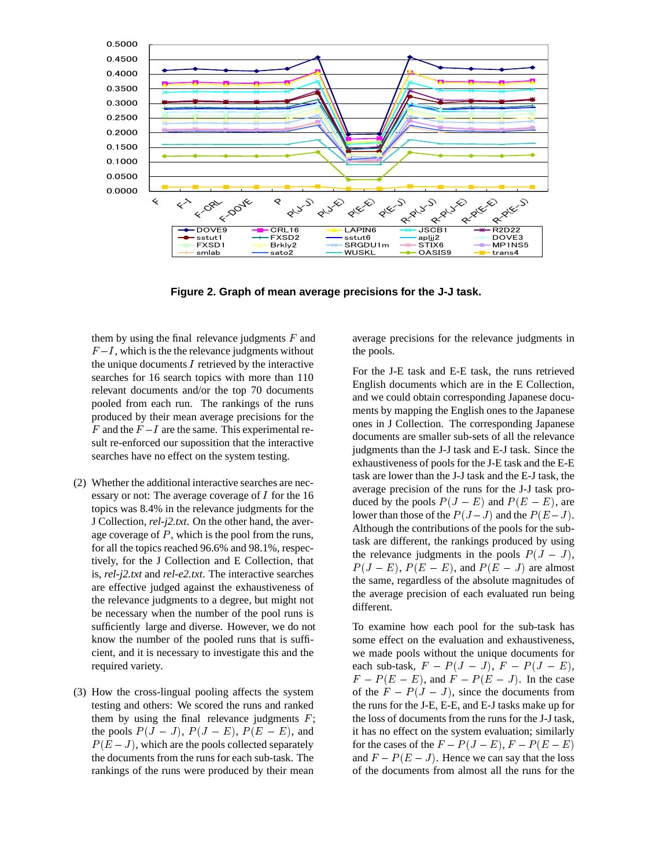

**Figure 2. Graph of mean average precisions for the J-J task.**

them by using the final relevance judgments  $F$  and  $F - I$ , which is the the relevance judgments without the unique documents  $I$  retrieved by the interactive searches for 16 search topics with more than 110 relevant documents and/or the top 70 documents pooled from each run. The rankings of the runs produced by their mean average precisions for the F and the  $F-I$  are the same. This experimental result re-enforced our supossition that the interactive searches have no effect on the system testing.

- (2) Whether the additional interactive searches are necessary or not: The average coverage of <sup>I</sup> for the 16 topics was 8.4% in the relevance judgments for the J Collection, *rel-j2.txt*. On the other hand, the average coverage of  $P$ , which is the pool from the runs, for all the topics reached 96.6% and 98.1%, respectively, for the J Collection and E Collection, that is, *rel-j2.txt* and *rel-e2.txt*. The interactive searches are effective judged against the exhaustiveness of the relevance judgments to a degree, but might not be necessary when the number of the pool runs is sufficiently large and diverse. However, we do not know the number of the pooled runs that is sufficient, and it is necessary to investigate this and the required variety.
- (3) How the cross-lingual pooling affects the system testing and others: We scored the runs and ranked them by using the final relevance judgments  $F$ ; the pools  $P(J-J)$ ,  $P(J-E)$ ,  $P(E-E)$ , and  $P(E - J)$ , which are the pools collected separately the documents from the runs for each sub-task. The rankings of the runs were produced by their mean

average precisions for the relevance judgments in the pools.

For the J-E task and E-E task, the runs retrieved English documents which are in the E Collection, and we could obtain corresponding Japanese documents by mapping the English ones to the Japanese ones in J Collection. The corresponding Japanese documents are smaller sub-sets of all the relevance judgments than the J-J task and E-J task. Since the exhaustiveness of pools for the J-E task and the E-E task are lower than the J-J task and the E-J task, the average precision of the runs for the J-J task produced by the pools  $P(J - E)$  and  $P(E - E)$ , are lower than those of the  $P(J-J)$  and the  $P(E-J)$ . Although the contributions of the pools for the subtask are different, the rankings produced by using the relevance judgments in the pools  $P(J - J)$ ,  $P(J - E)$ ,  $P(E - E)$ , and  $P(E - J)$  are almost the same, regardless of the absolute magnitudes of the average precision of each evaluated run being different.

To examine how each pool for the sub-task has some effect on the evaluation and exhaustiveness, we made pools without the unique documents for each sub-task,  $F - P(J - J)$ ,  $F - P(J - E)$ ,  $F - P(E - E)$ , and  $F - P(E - J)$ . In the case of the  $F - P(J - J)$ , since the documents from the runs for the J-E, E-E, and E-J tasks make up for the loss of documents from the runs for the J-J task, it has no effect on the system evaluation; similarly for the cases of the  $F - P(J - E)$ ,  $F - P(E - E)$ and  $F - P(E - J)$ . Hence we can say that the loss of the documents from almost all the runs for the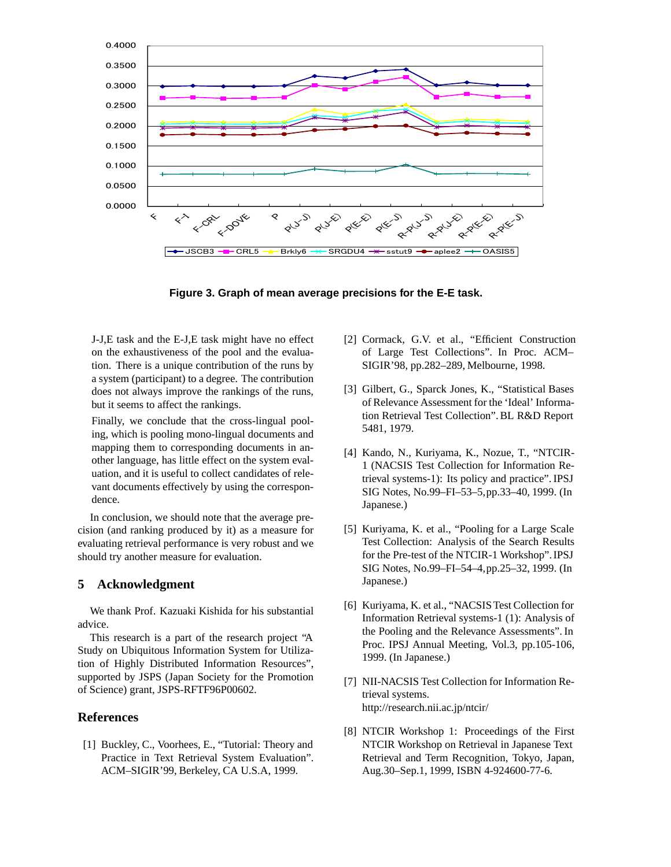



J-J,E task and the E-J,E task might have no effect on the exhaustiveness of the pool and the evaluation. There is a unique contribution of the runs by a system (participant) to a degree. The contribution does not always improve the rankings of the runs, but it seems to affect the rankings.

Finally, we conclude that the cross-lingual pooling, which is pooling mono-lingual documents and mapping them to corresponding documents in another language, has little effect on the system evaluation, and it is useful to collect candidates of relevant documents effectively by using the correspondence.

In conclusion, we should note that the average precision (and ranking produced by it) as a measure for evaluating retrieval performance is very robust and we should try another measure for evaluation.

## **5 Acknowledgment**

We thank Prof. Kazuaki Kishida for his substantial advice.

This research is a part of the research project "A Study on Ubiquitous Information System for Utilization of Highly Distributed Information Resources", supported by JSPS (Japan Society for the Promotion of Science) grant, JSPS-RFTF96P00602.

# **References**

[1] Buckley, C., Voorhees, E., "Tutorial: Theory and Practice in Text Retrieval System Evaluation". ACM–SIGIR'99, Berkeley, CA U.S.A, 1999.

- [2] Cormack, G.V. et al., "Efficient Construction of Large Test Collections". In Proc. ACM– SIGIR'98, pp.282–289, Melbourne, 1998.
- [3] Gilbert, G., Sparck Jones, K., "Statistical Bases of Relevance Assessment for the 'Ideal' Information Retrieval Test Collection". BL R&D Report 5481, 1979.
- [4] Kando, N., Kuriyama, K., Nozue, T., "NTCIR-1 (NACSIS Test Collection for Information Retrieval systems-1): Its policy and practice". IPSJ SIG Notes, No.99–FI–53–5,pp.33–40, 1999. (In Japanese.)
- [5] Kuriyama, K. et al., "Pooling for a Large Scale Test Collection: Analysis of the Search Results for the Pre-test of the NTCIR-1 Workshop".IPSJ SIG Notes, No.99–FI–54–4,pp.25–32, 1999. (In Japanese.)
- [6] Kuriyama, K. et al., "NACSIS Test Collection for Information Retrieval systems-1 (1): Analysis of the Pooling and the Relevance Assessments". In Proc. IPSJ Annual Meeting, Vol.3, pp.105-106, 1999. (In Japanese.)
- [7] NII-NACSIS Test Collection for Information Retrieval systems. http://research.nii.ac.jp/ntcir/
- [8] NTCIR Workshop 1: Proceedings of the First NTCIR Workshop on Retrieval in Japanese Text Retrieval and Term Recognition, Tokyo, Japan, Aug.30–Sep.1, 1999, ISBN 4-924600-77-6.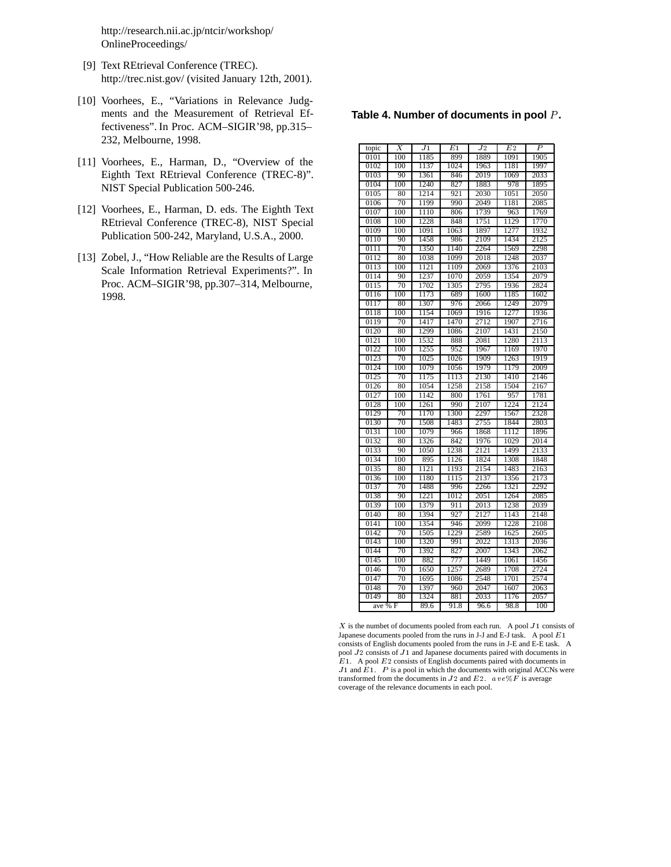http://research.nii.ac.jp/ntcir/workshop/ OnlineProceedings/

- [9] Text REtrieval Conference (TREC). http://trec.nist.gov/ (visited January 12th, 2001).
- [10] Voorhees, E., "Variations in Relevance Judgments and the Measurement of Retrieval Effectiveness". In Proc. ACM–SIGIR'98, pp.315– 232, Melbourne, 1998.
- [11] Voorhees, E., Harman, D., "Overview of the Eighth Text REtrieval Conference (TREC-8)". NIST Special Publication 500-246.
- [12] Voorhees, E., Harman, D. eds. The Eighth Text REtrieval Conference (TREC-8), NIST Special Publication 500-242, Maryland, U.S.A., 2000.
- [13] Zobel, J., "How Reliable are the Results of Large Scale Information Retrieval Experiments?". In Proc. ACM–SIGIR'98, pp.307–314, Melbourne, 1998.

| topic                 | Х   | J1   | E1   | $_{\it J2}$ | $\overline{E2}$ | P    |
|-----------------------|-----|------|------|-------------|-----------------|------|
| 0101                  | 100 | 1185 | 899  | 1889        | 1091            | 1905 |
| 0102                  | 100 | 1137 | 1024 | 1963        | 1181            | 1997 |
| 0103                  | 90  | 1361 | 846  | 2019        | 1069            | 2033 |
| 0104                  | 100 | 1240 | 827  | 1883        | 978             | 1895 |
| 0105                  | 80  | 1214 | 921  | 2030        | 1051            | 2050 |
| 0106                  | 70  | 1199 | 990  | 2049        | 1181            | 2085 |
| 0107                  | 100 | 1110 | 806  | 1739        | 963             | 1769 |
| 0108                  | 100 | 1228 | 848  | 1751        | 1129            | 1770 |
| 0109                  | 100 | 1091 | 1063 | 1897        | 1277            | 1932 |
| 0110                  | 90  | 1458 | 986  | 2109        | 1434            | 2125 |
| 0111                  | 70  | 1350 | 1140 | 2264        | 1569            | 2298 |
| 0112                  | 80  | 1038 | 1099 | 2018        | 1248            | 2037 |
| 0113                  | 100 | 1121 | 1109 | 2069        | 1376            | 2103 |
| 0114                  | 90  | 1237 | 1070 | 2059        | 1354            | 2079 |
| 0115                  | 70  | 1702 | 1305 | 2795        | 1936            | 2824 |
| 0116                  | 100 | 1173 | 689  | 1600        | 1185            | 1602 |
| 0117                  | 80  | 1307 | 976  | 2066        | 1249            | 2079 |
| 0118                  | 100 | 1154 | 1069 | 1916        | 1277            | 1936 |
| 0119                  | 70  | 1417 | 1470 | 2712        | 1907            | 2716 |
| 0120                  | 80  | 1299 | 1086 | 2107        | 1431            | 2150 |
| 0121                  | 100 | 1532 | 888  | 2081        | 1280            | 2113 |
| 0122                  | 100 | 1255 | 952  | 1967        | 1169            | 1970 |
| 0123                  | 70  | 1025 | 1026 | 1909        | 1263            | 1919 |
| 0124                  | 100 | 1079 | 1056 | 1979        | 1179            | 2009 |
| 0125                  | 70  | 1175 | 1113 | 2130        | 1410            | 2146 |
| 0126                  | 80  | 1054 | 1258 | 2158        | 1504            | 2167 |
| 0127                  | 100 | 1142 | 800  | 1761        | 957             | 1781 |
| 0128                  | 100 | 1261 | 990  | 2107        | 1224            | 2124 |
| 0129                  | 70  | 1170 | 1300 | 2297        | 1567            | 2328 |
| 0130                  | 70  | 1508 | 1483 | 2755        | 1844            | 2803 |
| 0131                  | 100 | 1079 | 966  | 1868        | 1112            | 1896 |
| 0132                  | 80  | 1326 | 842  | 1976        | 1029            | 2014 |
| 0133                  | 90  | 1050 | 1238 | 2121        | 1499            | 2133 |
| 0134                  | 100 | 895  | 1126 | 1824        | 1308            | 1848 |
| 0135                  | 80  | 1121 | 1193 | 2154        | 1483            | 2163 |
| 0136                  | 100 | 1180 | 1115 | 2137        | 1356            | 2173 |
| 0137                  | 70  | 1488 | 996  | 2266        | 1321            | 2292 |
| 0138                  | 90  | 1221 | 1012 | 2051        | 1264            | 2085 |
| 0139                  | 100 | 1379 | 911  | 2013        | 1238            | 2039 |
| 0140                  | 80  | 1394 | 927  | 2127        | 1143            | 2148 |
| 0141                  | 100 | 1354 | 946  | 2099        | 1228            | 2108 |
| 0142                  | 70  | 1505 | 1229 | 2589        | 1625            | 2605 |
| 0143                  | 100 | 1320 | 991  | 2022        | 1313            | 2036 |
| 0144                  | 70  | 1392 | 827  | 2007        | 1343            | 2062 |
| 0145                  | 100 | 882  | 777  | 1449        | 1061            | 1456 |
| 0146                  | 70  | 1650 | 1257 | 2689        | 1708            | 2724 |
| 0147                  | 70  | 1695 | 1086 | 2548        | 1701            | 2574 |
| $014\overline{8}$     | 70  | 1397 | 960  | 2047        | 1607            | 2063 |
| 0149                  | 80  | 1324 | 881  | 2033        | 1176            | 2057 |
| ave $\overline{\%}$ F |     | 89.6 | 91.8 | 96.6        | 98.8            | 100  |

 $X$  is the numbet of documents pooled from each run. A pool  $J1$  consists of Japanese documents pooled from the runs in J-J and E-J task. A pool  $E1$ consists of English documents pooled from the runs in J-E and E-E task. A pool J2 consists of J1 and Japanese documents paired with documents in E1. A pool E2 consists of English documents paired with documents in  $J1$  and  $E1$ .  $P$  is a pool in which the documents with original ACCNs were transformed from the documents in  $J2$  and  $E2.$  ave $\%F$  is average coverage of the relevance documents in each pool.

#### Table 4. Number of documents in pool P.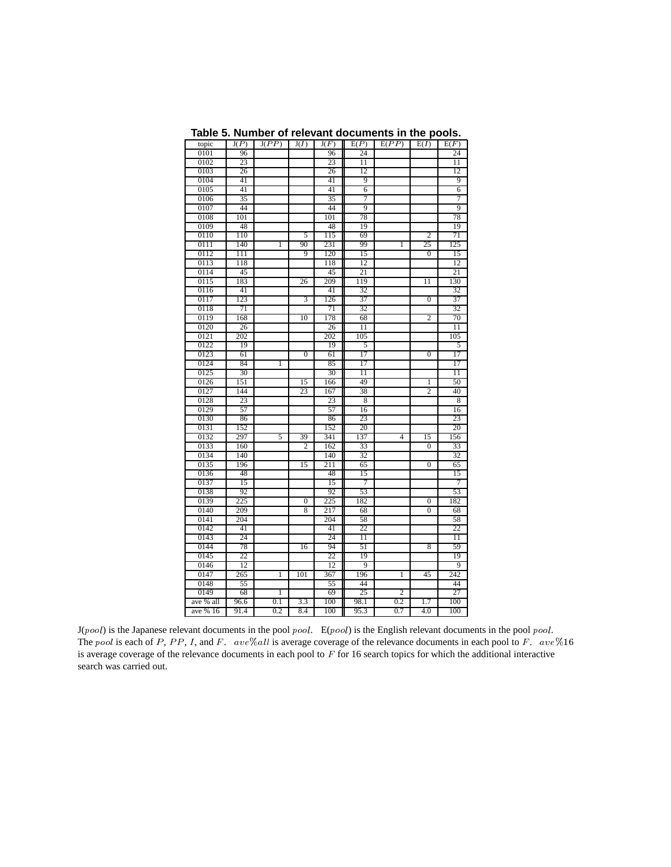| topic     | J(P) | J(PP)        | J(I)           | J(F) | E(P)            | E(PP)          | E(I)             | E(F)            |  |
|-----------|------|--------------|----------------|------|-----------------|----------------|------------------|-----------------|--|
| 0101      | 96   |              |                | 96   | 24              |                |                  | 24              |  |
| 0102      | 23   |              |                | 23   | 11              |                |                  | $\overline{11}$ |  |
| 0103      | 26   |              |                | 26   | 12              |                |                  | 12              |  |
| 0104      | 41   |              |                | 41   | 9               |                |                  | 9               |  |
| 0105      | 41   |              |                | 41   | 6               |                |                  | 6               |  |
| 0106      | 35   |              |                | 35   | $\overline{7}$  |                |                  | 7               |  |
| 0107      | 44   |              |                | 44   | 9               |                |                  | 9               |  |
| 0108      | 101  |              |                | 101  | 78              |                |                  | 78              |  |
| 0109      | 48   |              |                | 48   | 19              |                |                  | 19              |  |
| 0110      | 110  |              | 5              | 115  | 69              |                | $\overline{2}$   | 71              |  |
| 0111      | 140  | ī            | 90             | 231  | 99              | 1              | 25               | 125             |  |
| 0112      | 111  |              | 9              | 120  | 15              |                | $\mathbf{0}$     | 15              |  |
| 0113      | 118  |              |                | 118  | 12              |                |                  | 12              |  |
| 0114      | 45   |              |                | 45   | 21              |                |                  | 21              |  |
| 0115      | 183  |              | 26             | 209  | 119             |                | 11               | 130             |  |
| 0116      | 41   |              |                | 41   | 32              |                |                  | 32              |  |
| 0117      | 123  |              | 3              | 126  | 37              |                | $\boldsymbol{0}$ | 37              |  |
| 0118      | 71   |              |                | 71   | 32              |                |                  | 32              |  |
| 0119      | 168  |              | 10             | 178  | 68              |                | $\mathbf{2}$     | 70              |  |
| 0120      | 26   |              |                | 26   | 11              |                |                  | $\overline{11}$ |  |
| 0121      | 202  |              |                | 202  | 105             |                |                  | 105             |  |
| 0122      | 19   |              |                | 19   | 5               |                |                  | 5               |  |
| 0123      | 61   |              | $\overline{0}$ | 61   | 17              |                | $\overline{0}$   | 17              |  |
| 0124      | 84   | 1            |                | 85   | 17              |                |                  | 17              |  |
| 0125      | 30   |              |                | 30   | 11              |                |                  | 11              |  |
| 0126      | 151  |              | 15             | 166  | 49              |                | 1                | 50              |  |
| 0127      | 144  |              | 23             | 167  | 38              |                | 2                | 40              |  |
| 0128      | 23   |              |                | 23   | 8               |                |                  | 8               |  |
| 0129      | 57   |              |                | 57   | 16              |                |                  | 16              |  |
| 0130      | 86   |              |                | 86   | 23              |                |                  | 23              |  |
| 0131      | 152  |              |                | 152  | $\overline{20}$ |                |                  | $\overline{20}$ |  |
| 0132      | 297  | 5            | 39             | 341  | 137             | $\overline{4}$ | 15               | 156             |  |
| 0133      | 160  |              | 2              | 162  | 33              |                | $\Omega$         | 33              |  |
| 0134      | 140  |              |                | 140  | 32              |                |                  | 32              |  |
| 0135      | 196  |              | 15             | 211  | 65              |                | $\Omega$         | 65              |  |
| 0136      | 48   |              |                | 48   | 15              |                |                  | 15              |  |
| 0137      | 15   |              |                | 15   | 7               |                |                  | 7               |  |
| 0138      | 92   |              |                | 92   | 53              |                |                  | 53              |  |
| 0139      | 225  |              | 0              | 225  | 182             |                | 0                | 182             |  |
| 0140      | 209  |              | 8              | 217  | 68              |                | $\overline{0}$   | 68              |  |
| 0141      | 204  |              |                | 204  | 58              |                |                  | 58              |  |
| 0142      | 41   |              |                | 41   | 22              |                |                  | 22              |  |
| 0143      | 24   |              |                | 24   | 11              |                |                  | 11              |  |
| 0144      | 78   |              | 16             | 94   | 51              |                | 8                | 59              |  |
| 0145      | 22   |              |                | 22   | 19              |                |                  | 19              |  |
| 0146      | 12   |              |                | 12   | 9               |                |                  | 9               |  |
| 0147      | 265  | $\mathbf{1}$ | 101            | 367  | 196             | 1              | 45               | 242             |  |
| 0148      | 55   |              |                | 55   | 44              |                |                  | 44              |  |
| 0149      | 68   | 1            |                | 69   | 25              | 2              |                  | 27              |  |
| ave % all | 96.6 | 0.1          | 3.3            | 100  | 98.1            | 0.2            | 1.7              | 100             |  |
| ave % 16  | 91.4 | 0.2          | 8.4            | 100  | 95.3            | 0.7            | 4.0              | 100             |  |
|           |      |              |                |      |                 |                |                  |                 |  |

**Table 5. Number of relevant documents in the pools.**

J(pool) is the Japanese relevant documents in the pool pool. E(pool) is the English relevant documents in the pool pool. The pool is each of P, PP, I, and F. ave%all is average coverage of the relevance documents in each pool to F. ave%16 is average coverage of the relevance documents in each pool to  $F$  for 16 search topics for which the additional interactive search was carried out.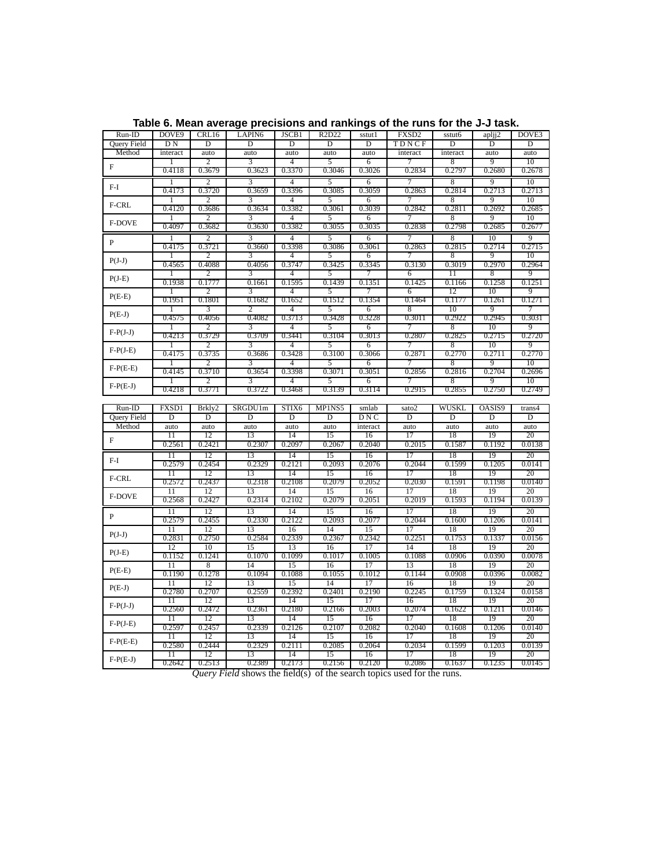| $Run-ID$           | DOVE9                   | CRL16           | LAPIN <sub>6</sub>      | JSCB1           | R2D22      | sstut1         | FXSD <sub>2</sub> | sstut6     | aplji <sub>2</sub> | DOVE <sub>3</sub> |
|--------------------|-------------------------|-----------------|-------------------------|-----------------|------------|----------------|-------------------|------------|--------------------|-------------------|
| Query Field        | D N                     | D               | D                       | D               | D          | D              | TDNCF             | D          | D                  | D                 |
| Method             | interact                | auto            | auto                    | auto            | auto       | auto           | interact          | interact   | auto               | auto              |
|                    | 1                       | $\overline{c}$  | 3                       | $\overline{4}$  | 5          | 6              | 7                 | 8          | 9                  | 10                |
| $\overline{F}$     | 0.4118                  | 0.3679          | 0.3623                  | 0.3370          | 0.3046     | 0.3026         | 0.2834            | 0.2797     | 0.2680             | 0.2678            |
|                    | 1                       | $\overline{c}$  | 3                       | $\overline{4}$  | 5          | 6              | 7                 | 8          | 9                  | 10                |
| $F-I$              | 0.4173                  | 0.3720          | 0.3659                  | 0.3396          | 0.3085     | 0.3059         | 0.2863            | 0.2814     | 0.2713             | 0.2713            |
|                    | 1                       | 2               | 3                       | $\overline{4}$  | 5          | 6              | 7                 | 8          | 9                  | 10                |
| F-CRL              | 0.4120                  | 0.3686          | 0.3634                  | 0.3382          | 0.3061     | 0.3039         | 0.2842            | 0.2811     | 0.2692             | 0.2685            |
|                    | 1                       | $\overline{c}$  | 3                       | 4               | 5          | 6              | 7                 | 8          | 9                  | 10                |
| F-DOVE             | 0.4097                  | 0.3682          | 0.3630                  | 0.3382          | 0.3055     | 0.3035         | 0.2838            | 0.2798     | 0.2685             | 0.2677            |
|                    |                         |                 |                         |                 |            |                |                   |            |                    |                   |
| $\overline{P}$     | 1                       | $\overline{2}$  | 3                       | $\overline{4}$  | 5          | 6              |                   | 8          | $\overline{10}$    | 9                 |
|                    | 0.4175                  | 0.3721          | 0.3660                  | 0.3398          | 0.3086     | 0.3061         | 0.2863            | 0.2815     | 0.2714             | 0.2715            |
| $P(J-J)$           |                         | 2               | 3                       | $\overline{4}$  | 5          | 6              | 7                 | 8          | 9                  | 10                |
|                    | 0.4565                  | 0.4088          | 0.4056                  | 0.3747          | 0.3425     | 0.3345         | 0.3130            | 0.3019     | 0.2970             | 0.2964            |
| $P(J-E)$           | 1                       | 2               | 3                       | $\overline{4}$  | 5          | 7              | 6                 | 11         | 8                  | 9                 |
|                    | 0.1938                  | 0.1777          | 0.1661                  | 0.1595          | 0.1439     | 0.1351         | 0.1425            | 0.1166     | 0.1258             | 0.1251            |
| $P(E-E)$           | $\mathbf{1}$            | $\overline{2}$  | 3                       | $\overline{4}$  | 5          | 7              | 6                 | 12         | 10                 | 9                 |
|                    | 0.1951                  | 0.1801          | 0.1682                  | 0.1652          | 0.1512     | 0.1354         | 0.1464            | 0.1177     | 0.1261             | 0.1271            |
| $P(E-J)$           | 1                       | 3               | 2                       | $\overline{4}$  | 5          | 6              | 8                 | 10         | 9                  | 7                 |
|                    | 0.4575                  | 0.4056          | 0.4082                  | 0.3713          | 0.3428     | 0.3228         | 0.3011            | 0.2922     | 0.2945             | 0.3031            |
| $F-P(J-J)$         | 1                       | $\overline{2}$  | $\overline{\mathbf{3}}$ | $\overline{4}$  | 5          | 6              | 7                 | 8          | 10                 | 9                 |
|                    | 0.4213                  | 0.3729          | 0.3709                  | 0.3441          | 0.3104     | 0.3013         | 0.2807            | 0.2825     | 0.2715             | 0.2720            |
| $F-P(J-E)$         | 1                       | 2               | 3                       | $\overline{4}$  | 5          | 6              | 7                 | 8          | 10                 | 9                 |
|                    | 0.4175                  | 0.3735          | 0.3686                  | 0.3428          | 0.3100     | 0.3066         | 0.2871            | 0.2770     | 0.2711             | 0.2770            |
| $F-P(E-E)$         | 1                       | 2               | $\overline{3}$          | $\overline{4}$  | 5          | 6              | 7                 | 8          | 9                  | 10                |
|                    | 0.4145                  | 0.3710          | 0.3654                  | 0.3398          | 0.3071     | 0.3051         | 0.2856            | 0.2816     | 0.2704             | 0.2696            |
|                    | 1                       | 2               | 3                       | $\overline{4}$  | 5          | 6              | 7                 | 8          | 9                  | 10                |
| $F-P(E-J)$         | 0.4218                  | 0.3771          | 0.3722                  | 0.3468          | 0.3139     | 0.3114         | 0.2915            | 0.2855     | 0.2750             | 0.2749            |
|                    |                         |                 |                         |                 |            |                |                   |            |                    |                   |
|                    |                         |                 |                         |                 |            |                |                   |            |                    |                   |
| $Run-ID$           | <b>FXSD1</b>            | Brkly2          | SRGDU1m                 | STIX6           | MP1NS5     | smlab          | sato2             | WUSKL      | OASIS9             | trans4            |
| <b>Ouery Field</b> | D                       | D               | D                       | D               | D          | DNC            | $\overline{D}$    | D          | D                  | $\overline{D}$    |
|                    |                         |                 |                         |                 |            |                |                   |            |                    |                   |
| Method             | auto<br>$\overline{11}$ | auto<br>12      | auto<br>13              | auto<br>14      | auto<br>15 | interact<br>16 | auto<br>17        | auto<br>18 | auto<br>19         | auto              |
| $\mathbf{F}$       | 0.2561                  | 0.2421          | 0.2307                  | 0.2097          | 0.2067     | 0.2040         | 0.2015            | 0.1587     | 0.1192             | 20<br>0.0138      |
|                    |                         |                 |                         |                 |            |                |                   |            |                    |                   |
| $F-I$              | $\overline{11}$         | $\overline{12}$ | 13                      | $\overline{14}$ | 15         | 16             | 17                | 18         | 19                 | 20                |
|                    | 0.2579                  | 0.2454          | 0.2329                  | 0.2121          | 0.2093     | 0.2076         | 0.2044            | 0.1599     | 0.1205             | 0.0141            |
| F-CRL              | 11                      | 12              | 13                      | 14              | 15         | 16             | 17                | 18         | 19                 | 20                |
|                    | 0.2572                  | 0.2437          | 0.2318                  | 0.2108          | 0.2079     | 0.2052         | 0.2030            | 0.1591     | 0.1198             | 0.0140            |
| <b>F-DOVE</b>      | $\overline{11}$         | 12              | 13                      | 14              | 15         | 16             | 17                | 18         | 19                 | 20                |
|                    | 0.2568                  | 0.2427          | 0.2314                  | 0.2102          | 0.2079     | 0.2051         | 0.2019            | 0.1593     | 0.1194             | 0.0139            |
| $\mathbf{P}$       | $\overline{11}$         | 12              | 13                      | 14              | 15         | 16             | 17                | 18         | 19                 | 20                |
|                    | 0.2579                  | 0.2455          | 0.2330                  | 0.2122          | 0.2093     | 0.2077         | 0.2044            | 0.1600     | 0.1206             | 0.0141            |
|                    | $\overline{11}$         | 12              | 13                      | 16              | 14         | 15             | 17                | 18         | 19                 | 20                |
| $P(J-J)$           | 0.2831                  | 0.2750          | 0.2584                  | 0.2339          | 0.2367     | 0.2342         | 0.2251            | 0.1753     | 0.1337             | 0.0156            |
|                    | 12                      | 10              | 15                      | 13              | 16         | 17             | 14                | 18         | 19                 | 20                |
| $P(J-E)$           | 0.1152                  | 0.1241          | 0.1070                  | 0.1099          | 0.1017     | 0.1005         | 0.1088            | 0.0906     | 0.0390             | 0.0078            |
|                    | 11                      | 8               | 14                      | 15              | 16         | 17             | 13                | 18         | 19                 | 20                |
| $P(E-E)$           | 0.1190                  | 0.1278          | 0.1094                  | 0.1088          | 0.1055     | 0.1012         | 0.1144            | 0.0908     | 0.0396             | 0.0082            |
|                    | $\overline{11}$         | $\overline{12}$ | 13                      | 15              | 14         | 17             | 16                | 18         | 19                 | 20                |
| $P(E-J)$           | 0.2780                  | 0.2707          | 0.2559                  | 0.2392          | 0.2401     | 0.2190         | 0.2245            | 0.1759     | 0.1324             | 0.0158            |
|                    | $\overline{11}$         | 12              | 13                      | $\overline{14}$ | 15         | 17             | 16                | 18         | 19                 | 20                |
| $F-P(J-J)$         | 0.2560                  | 0.2472          | 0.2361                  | 0.2180          | 0.2166     | 0.2003         | 0.2074            | 0.1622     | 0.1211             | 0.0146            |
|                    | $\overline{11}$         | 12              | 13                      | 14              | 15         | 16             | 17                | 18         | 19                 | 20                |
| $F-P(J-E)$         | 0.2597                  | 0.2457          | 0.2339                  | 0.2126          | 0.2107     | 0.2082         | 0.2040            | 0.1608     | 0.1206             | 0.0140            |
|                    | $\overline{11}$         | $\overline{12}$ | 13                      | $\overline{14}$ | 15         | 16             | 17                | 18         | 19                 | 20                |
| $F-P(E-E)$         | 0.2580                  | 0.2444          | 0.2329                  | 0.2111          | 0.2085     | 0.2064         | 0.2034            | 0.1599     | 0.1203             | 0.0139            |
| $F-P(E-J)$         | 11                      | 12              | 13                      | 14              | 15         | 16             | 17                | 18         | 19                 | 20                |

**Table 6. Mean average precisions and rankings of the runs for the J-J task.**

*Query Field* shows the field(s) of the search topics used for the runs.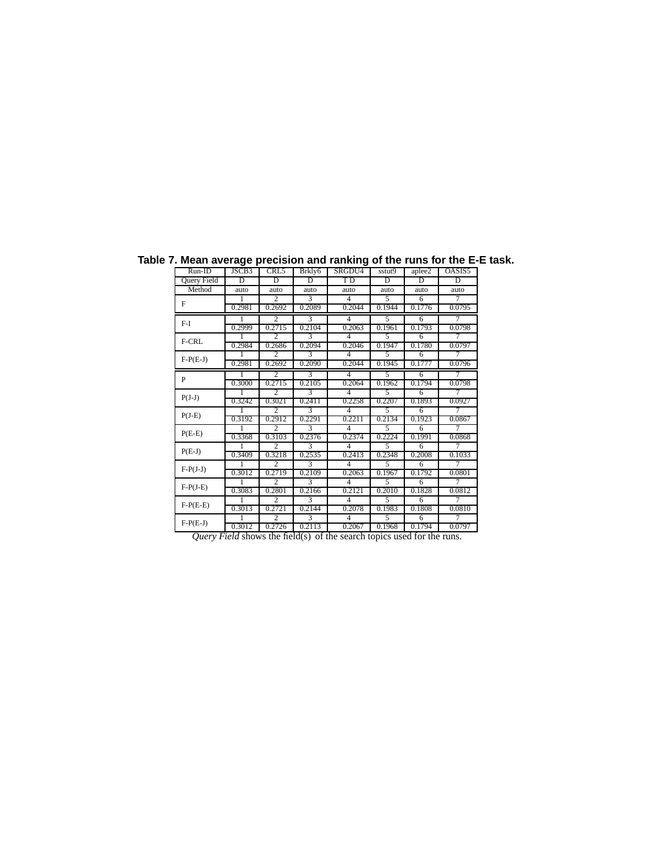| .vu u .v.ugv pr |        |                          |        |                          |        | $\cdots$ . $\cdots$ . $\cdots$ . $\cdots$ |        |
|-----------------|--------|--------------------------|--------|--------------------------|--------|-------------------------------------------|--------|
| $Run-ID$        | JSCB3  | CRL5                     | Brkly6 | SRGDU4                   | sstut9 | aplee2                                    | OASIS5 |
| Query Field     | D      | D                        | D      | <b>TD</b>                | Đ      | Đ                                         | D      |
| Method          | auto   | auto                     | auto   | auto                     | auto   | auto                                      | auto   |
|                 |        | $\overline{2}$           | 3      | 4                        | 5      | 6                                         | 7      |
| F               | 0.2981 | 0.2692                   | 0.2089 | 0.2044                   | 0.1944 | 0.1776                                    | 0.0795 |
| $F-I$           |        | $\overline{\mathcal{L}}$ | 3      | 4                        | 5      | 6                                         | 7      |
|                 | 0.2999 | 0.2715                   | 0.2104 | 0.2063                   | 0.1961 | 0.1793                                    | 0.0798 |
| F-CRL           |        | $\overline{\mathcal{L}}$ | 3      | $\overline{\mathcal{A}}$ | 5      | 6                                         | 7      |
|                 | 0.2984 | 0.2686                   | 0.2094 | 0.2046                   | 0.1947 | 0.1780                                    | 0.0797 |
| $F-P(E-J)$      |        | $\overline{\mathcal{L}}$ | 3      | 4                        | 5      | 6                                         | 7      |
|                 | 0.2981 | 0.2692                   | 0.2090 | 0.2044                   | 0.1945 | 0.1777                                    | 0.0796 |
| P               |        | $\overline{\mathcal{L}}$ | 3      | $\overline{\mathcal{A}}$ | 5      | 6                                         | 7      |
|                 | 0.3000 | 0.2715                   | 0.2105 | 0.2064                   | 0.1962 | 0.1794                                    | 0.0798 |
|                 |        | 2                        | 3      | $\overline{\mathcal{A}}$ | 5      | 6                                         | 7      |
| $P(J-J)$        | 0.3242 | 0.3021                   | 0.2411 | 0.2258                   | 0.2207 | 0.1893                                    | 0.0927 |
| $P(J-E)$        |        | $\overline{\mathcal{L}}$ | 3      | $\overline{\mathcal{A}}$ | 5      | 6                                         |        |
|                 | 0.3192 | 0.2912                   | 0.2291 | 0.2211                   | 0.2134 | 0.1923                                    | 0.0867 |
| $P(E-E)$        |        | $\overline{\mathcal{L}}$ | 3      | $\overline{4}$           | 5      | 6                                         | 7      |
|                 | 0.3368 | 0.3103                   | 0.2376 | 0.2374                   | 0.2224 | 0.1991                                    | 0.0868 |
| $P(E-J)$        |        | $\overline{\mathcal{L}}$ | 3      | $\overline{\mathcal{A}}$ | 5      | 6                                         | 7      |
|                 | 0.3409 | 0.3218                   | 0.2535 | 0.2413                   | 0.2348 | 0.2008                                    | 0.1033 |
| $F-P(J-J)$      |        | $\overline{\mathcal{L}}$ | 3      | $\overline{4}$           | 5      | 6                                         | 7      |
|                 | 0.3012 | 0.2719                   | 0.2109 | 0.2063                   | 0.1967 | 0.1792                                    | 0.0801 |
| $F-P(J-E)$      |        | $\overline{\mathcal{L}}$ | 3      | $\overline{\mathcal{A}}$ | 5      | 6                                         | 7      |
|                 | 0.3083 | 0.2801                   | 0.2166 | 0.2121                   | 0.2010 | 0.1828                                    | 0.0812 |
| $F-P(E-E)$      |        | $\overline{\mathcal{L}}$ | 3      | 4                        | 5      | 6                                         | 7      |
|                 | 0.3013 | 0.2721                   | 0.2144 | 0.2078                   | 0.1983 | 0.1808                                    | 0.0810 |
| $F-P(E-J)$      |        | $\overline{\mathcal{L}}$ | 3      | $\overline{4}$           | 5      | 6                                         | 7      |
|                 | 0.3012 | 0.2726                   | 0.2113 | 0.2067                   | 0.1968 | 0.1794                                    | 0.0797 |

**Table 7. Mean average precision and ranking of the runs for the E-E task.**

*Query Field* shows the field(s) of the search topics used for the runs.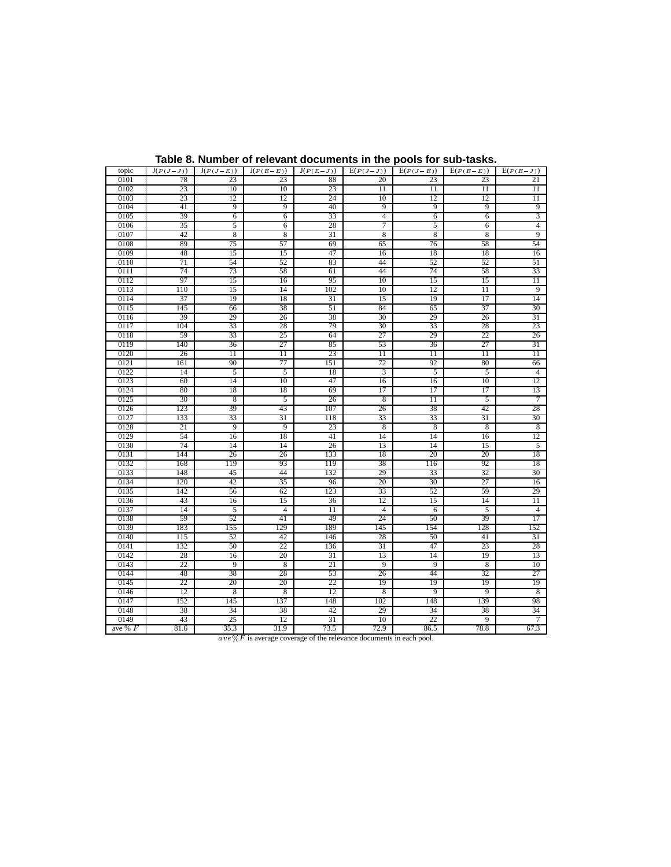| 0102<br>23<br>10<br>10<br>23<br>$\overline{11}$<br>$\overline{11}$<br>$\overline{11}$<br>$\overline{11}$<br>0103<br>23<br>12<br>12<br>24<br>10<br>12<br>12<br>$\overline{11}$<br>9<br>0104<br>9<br>9<br>40<br>9<br>9<br>9<br>41<br>3<br>0105<br>33<br>39<br>6<br>6<br>4<br>6<br>6<br>$\overline{4}$<br>5<br>7<br>0106<br>35<br>6<br>28<br>5<br>6<br>9<br>8<br>$\overline{8}$<br>31<br>8<br>8<br>8<br>0107<br>42<br>57<br>54<br>0108<br>75<br>69<br>58<br>89<br>65<br>76<br>47<br>18<br>16<br>0109<br>48<br>15<br>15<br>16<br>18<br>52<br>52<br>0110<br>71<br>54<br>83<br>44<br>52<br>51<br>74<br>73<br>58<br>61<br>44<br>74<br>58<br>33<br>0111<br>0112<br>97<br>16<br>95<br>10<br>15<br>15<br>$\overline{11}$<br>15<br>0113<br>110<br>14<br>102<br>10<br>11<br>9<br>15<br>12<br>14<br>0114<br>37<br>19<br>18<br>31<br>19<br>17<br>15<br>37<br>30<br>0115<br>38<br>51<br>84<br>145<br>66<br>65<br>0116<br>31<br>29<br>26<br>38<br>30<br>26<br>39<br>29<br>79<br>28<br>0117<br>104<br>28<br>30<br>23<br>33<br>33<br>0118<br>33<br>25<br>64<br>27<br>29<br>22<br>26<br>59<br>0119<br>27<br>85<br>27<br>31<br>140<br>36<br>53<br>36<br>23<br>0120<br>26<br>$\overline{11}$<br>$\overline{11}$<br>$\overline{11}$<br>$\overline{11}$<br>$\overline{11}$<br>$\overline{11}$<br>77<br>0121<br>90<br>151<br>72<br>92<br>80<br>161<br>66<br>0122<br>5<br>5<br>18<br>3<br>5<br>5<br>$\overline{4}$<br>14<br>0123<br>10<br>47<br>10<br>12<br>60<br>14<br>16<br>16<br>0124<br>18<br>69<br>$\overline{17}$<br>17<br>13<br>80<br>18<br>17<br>8<br>$\overline{7}$<br>0125<br>30<br>5<br>26<br>8<br>5<br>11<br>39<br>43<br>107<br>42<br>28<br>0126<br>123<br>26<br>38<br>0127<br>33<br>31<br>33<br>33<br>31<br>30<br>133<br>118<br>9<br>9<br>23<br>$\overline{8}$<br>8<br>$\overline{8}$<br>8<br>0128<br>21<br>12<br>0129<br>54<br>16<br>18<br>41<br>14<br>14<br>16<br>74<br>26<br>0130<br>14<br>14<br>13<br>14<br>15<br>$\overline{5}$<br>0131<br>26<br>18<br>144<br>26<br>133<br>18<br>20<br>20<br>0132<br>168<br>119<br>93<br>119<br>38<br>116<br>92<br>18<br>0133<br>148<br>45<br>44<br>132<br>29<br>32<br>30<br>33<br>0134<br>120<br>42<br>35<br>96<br>20<br>30<br>27<br>16<br>59<br>0135<br>123<br>33<br>29<br>142<br>56<br>62<br>52<br>0136<br>15<br>36<br>12<br>14<br>$\overline{11}$<br>43<br>16<br>15<br>$\overline{5}$<br>0137<br>14<br>$\overline{4}$<br>11<br>$\overline{4}$<br>5<br>$\overline{4}$<br>6<br>0138<br>59<br>52<br>41<br>49<br>24<br>50<br>39<br>17<br>128<br>0139<br>183<br>155<br>129<br>189<br>145<br>154<br>152<br>0140<br>31<br>115<br>52<br>42<br>146<br>28<br>50<br>41 | topic | $J(P(J-J))$ | $J(P(J-E))$ | $J(P(E-E))$ | $J(P(E-J))$ | $E(P(J-J))$ | $E(P(J-E))$ | $E(P(E-E))$ | $E(P(E-J))$ |
|------------------------------------------------------------------------------------------------------------------------------------------------------------------------------------------------------------------------------------------------------------------------------------------------------------------------------------------------------------------------------------------------------------------------------------------------------------------------------------------------------------------------------------------------------------------------------------------------------------------------------------------------------------------------------------------------------------------------------------------------------------------------------------------------------------------------------------------------------------------------------------------------------------------------------------------------------------------------------------------------------------------------------------------------------------------------------------------------------------------------------------------------------------------------------------------------------------------------------------------------------------------------------------------------------------------------------------------------------------------------------------------------------------------------------------------------------------------------------------------------------------------------------------------------------------------------------------------------------------------------------------------------------------------------------------------------------------------------------------------------------------------------------------------------------------------------------------------------------------------------------------------------------------------------------------------------------------------------------------------------------------------------------------------------------------------------------------------------------------------------------------------------------------------------------------------------------------------------------------------------------------------------------------------------------------------------------------------------------------------------------------------------------------------------------------------------------------------------------------------------------------------------------------------------------------------------------------------|-------|-------------|-------------|-------------|-------------|-------------|-------------|-------------|-------------|
|                                                                                                                                                                                                                                                                                                                                                                                                                                                                                                                                                                                                                                                                                                                                                                                                                                                                                                                                                                                                                                                                                                                                                                                                                                                                                                                                                                                                                                                                                                                                                                                                                                                                                                                                                                                                                                                                                                                                                                                                                                                                                                                                                                                                                                                                                                                                                                                                                                                                                                                                                                                          | 0101  | 78          | 23          | 23          | 88          | 20          | 23          | 23          | 21          |
|                                                                                                                                                                                                                                                                                                                                                                                                                                                                                                                                                                                                                                                                                                                                                                                                                                                                                                                                                                                                                                                                                                                                                                                                                                                                                                                                                                                                                                                                                                                                                                                                                                                                                                                                                                                                                                                                                                                                                                                                                                                                                                                                                                                                                                                                                                                                                                                                                                                                                                                                                                                          |       |             |             |             |             |             |             |             |             |
|                                                                                                                                                                                                                                                                                                                                                                                                                                                                                                                                                                                                                                                                                                                                                                                                                                                                                                                                                                                                                                                                                                                                                                                                                                                                                                                                                                                                                                                                                                                                                                                                                                                                                                                                                                                                                                                                                                                                                                                                                                                                                                                                                                                                                                                                                                                                                                                                                                                                                                                                                                                          |       |             |             |             |             |             |             |             |             |
|                                                                                                                                                                                                                                                                                                                                                                                                                                                                                                                                                                                                                                                                                                                                                                                                                                                                                                                                                                                                                                                                                                                                                                                                                                                                                                                                                                                                                                                                                                                                                                                                                                                                                                                                                                                                                                                                                                                                                                                                                                                                                                                                                                                                                                                                                                                                                                                                                                                                                                                                                                                          |       |             |             |             |             |             |             |             |             |
|                                                                                                                                                                                                                                                                                                                                                                                                                                                                                                                                                                                                                                                                                                                                                                                                                                                                                                                                                                                                                                                                                                                                                                                                                                                                                                                                                                                                                                                                                                                                                                                                                                                                                                                                                                                                                                                                                                                                                                                                                                                                                                                                                                                                                                                                                                                                                                                                                                                                                                                                                                                          |       |             |             |             |             |             |             |             |             |
|                                                                                                                                                                                                                                                                                                                                                                                                                                                                                                                                                                                                                                                                                                                                                                                                                                                                                                                                                                                                                                                                                                                                                                                                                                                                                                                                                                                                                                                                                                                                                                                                                                                                                                                                                                                                                                                                                                                                                                                                                                                                                                                                                                                                                                                                                                                                                                                                                                                                                                                                                                                          |       |             |             |             |             |             |             |             |             |
|                                                                                                                                                                                                                                                                                                                                                                                                                                                                                                                                                                                                                                                                                                                                                                                                                                                                                                                                                                                                                                                                                                                                                                                                                                                                                                                                                                                                                                                                                                                                                                                                                                                                                                                                                                                                                                                                                                                                                                                                                                                                                                                                                                                                                                                                                                                                                                                                                                                                                                                                                                                          |       |             |             |             |             |             |             |             |             |
|                                                                                                                                                                                                                                                                                                                                                                                                                                                                                                                                                                                                                                                                                                                                                                                                                                                                                                                                                                                                                                                                                                                                                                                                                                                                                                                                                                                                                                                                                                                                                                                                                                                                                                                                                                                                                                                                                                                                                                                                                                                                                                                                                                                                                                                                                                                                                                                                                                                                                                                                                                                          |       |             |             |             |             |             |             |             |             |
|                                                                                                                                                                                                                                                                                                                                                                                                                                                                                                                                                                                                                                                                                                                                                                                                                                                                                                                                                                                                                                                                                                                                                                                                                                                                                                                                                                                                                                                                                                                                                                                                                                                                                                                                                                                                                                                                                                                                                                                                                                                                                                                                                                                                                                                                                                                                                                                                                                                                                                                                                                                          |       |             |             |             |             |             |             |             |             |
|                                                                                                                                                                                                                                                                                                                                                                                                                                                                                                                                                                                                                                                                                                                                                                                                                                                                                                                                                                                                                                                                                                                                                                                                                                                                                                                                                                                                                                                                                                                                                                                                                                                                                                                                                                                                                                                                                                                                                                                                                                                                                                                                                                                                                                                                                                                                                                                                                                                                                                                                                                                          |       |             |             |             |             |             |             |             |             |
|                                                                                                                                                                                                                                                                                                                                                                                                                                                                                                                                                                                                                                                                                                                                                                                                                                                                                                                                                                                                                                                                                                                                                                                                                                                                                                                                                                                                                                                                                                                                                                                                                                                                                                                                                                                                                                                                                                                                                                                                                                                                                                                                                                                                                                                                                                                                                                                                                                                                                                                                                                                          |       |             |             |             |             |             |             |             |             |
|                                                                                                                                                                                                                                                                                                                                                                                                                                                                                                                                                                                                                                                                                                                                                                                                                                                                                                                                                                                                                                                                                                                                                                                                                                                                                                                                                                                                                                                                                                                                                                                                                                                                                                                                                                                                                                                                                                                                                                                                                                                                                                                                                                                                                                                                                                                                                                                                                                                                                                                                                                                          |       |             |             |             |             |             |             |             |             |
|                                                                                                                                                                                                                                                                                                                                                                                                                                                                                                                                                                                                                                                                                                                                                                                                                                                                                                                                                                                                                                                                                                                                                                                                                                                                                                                                                                                                                                                                                                                                                                                                                                                                                                                                                                                                                                                                                                                                                                                                                                                                                                                                                                                                                                                                                                                                                                                                                                                                                                                                                                                          |       |             |             |             |             |             |             |             |             |
|                                                                                                                                                                                                                                                                                                                                                                                                                                                                                                                                                                                                                                                                                                                                                                                                                                                                                                                                                                                                                                                                                                                                                                                                                                                                                                                                                                                                                                                                                                                                                                                                                                                                                                                                                                                                                                                                                                                                                                                                                                                                                                                                                                                                                                                                                                                                                                                                                                                                                                                                                                                          |       |             |             |             |             |             |             |             |             |
|                                                                                                                                                                                                                                                                                                                                                                                                                                                                                                                                                                                                                                                                                                                                                                                                                                                                                                                                                                                                                                                                                                                                                                                                                                                                                                                                                                                                                                                                                                                                                                                                                                                                                                                                                                                                                                                                                                                                                                                                                                                                                                                                                                                                                                                                                                                                                                                                                                                                                                                                                                                          |       |             |             |             |             |             |             |             |             |
|                                                                                                                                                                                                                                                                                                                                                                                                                                                                                                                                                                                                                                                                                                                                                                                                                                                                                                                                                                                                                                                                                                                                                                                                                                                                                                                                                                                                                                                                                                                                                                                                                                                                                                                                                                                                                                                                                                                                                                                                                                                                                                                                                                                                                                                                                                                                                                                                                                                                                                                                                                                          |       |             |             |             |             |             |             |             |             |
|                                                                                                                                                                                                                                                                                                                                                                                                                                                                                                                                                                                                                                                                                                                                                                                                                                                                                                                                                                                                                                                                                                                                                                                                                                                                                                                                                                                                                                                                                                                                                                                                                                                                                                                                                                                                                                                                                                                                                                                                                                                                                                                                                                                                                                                                                                                                                                                                                                                                                                                                                                                          |       |             |             |             |             |             |             |             |             |
|                                                                                                                                                                                                                                                                                                                                                                                                                                                                                                                                                                                                                                                                                                                                                                                                                                                                                                                                                                                                                                                                                                                                                                                                                                                                                                                                                                                                                                                                                                                                                                                                                                                                                                                                                                                                                                                                                                                                                                                                                                                                                                                                                                                                                                                                                                                                                                                                                                                                                                                                                                                          |       |             |             |             |             |             |             |             |             |
|                                                                                                                                                                                                                                                                                                                                                                                                                                                                                                                                                                                                                                                                                                                                                                                                                                                                                                                                                                                                                                                                                                                                                                                                                                                                                                                                                                                                                                                                                                                                                                                                                                                                                                                                                                                                                                                                                                                                                                                                                                                                                                                                                                                                                                                                                                                                                                                                                                                                                                                                                                                          |       |             |             |             |             |             |             |             |             |
|                                                                                                                                                                                                                                                                                                                                                                                                                                                                                                                                                                                                                                                                                                                                                                                                                                                                                                                                                                                                                                                                                                                                                                                                                                                                                                                                                                                                                                                                                                                                                                                                                                                                                                                                                                                                                                                                                                                                                                                                                                                                                                                                                                                                                                                                                                                                                                                                                                                                                                                                                                                          |       |             |             |             |             |             |             |             |             |
|                                                                                                                                                                                                                                                                                                                                                                                                                                                                                                                                                                                                                                                                                                                                                                                                                                                                                                                                                                                                                                                                                                                                                                                                                                                                                                                                                                                                                                                                                                                                                                                                                                                                                                                                                                                                                                                                                                                                                                                                                                                                                                                                                                                                                                                                                                                                                                                                                                                                                                                                                                                          |       |             |             |             |             |             |             |             |             |
|                                                                                                                                                                                                                                                                                                                                                                                                                                                                                                                                                                                                                                                                                                                                                                                                                                                                                                                                                                                                                                                                                                                                                                                                                                                                                                                                                                                                                                                                                                                                                                                                                                                                                                                                                                                                                                                                                                                                                                                                                                                                                                                                                                                                                                                                                                                                                                                                                                                                                                                                                                                          |       |             |             |             |             |             |             |             |             |
|                                                                                                                                                                                                                                                                                                                                                                                                                                                                                                                                                                                                                                                                                                                                                                                                                                                                                                                                                                                                                                                                                                                                                                                                                                                                                                                                                                                                                                                                                                                                                                                                                                                                                                                                                                                                                                                                                                                                                                                                                                                                                                                                                                                                                                                                                                                                                                                                                                                                                                                                                                                          |       |             |             |             |             |             |             |             |             |
|                                                                                                                                                                                                                                                                                                                                                                                                                                                                                                                                                                                                                                                                                                                                                                                                                                                                                                                                                                                                                                                                                                                                                                                                                                                                                                                                                                                                                                                                                                                                                                                                                                                                                                                                                                                                                                                                                                                                                                                                                                                                                                                                                                                                                                                                                                                                                                                                                                                                                                                                                                                          |       |             |             |             |             |             |             |             |             |
|                                                                                                                                                                                                                                                                                                                                                                                                                                                                                                                                                                                                                                                                                                                                                                                                                                                                                                                                                                                                                                                                                                                                                                                                                                                                                                                                                                                                                                                                                                                                                                                                                                                                                                                                                                                                                                                                                                                                                                                                                                                                                                                                                                                                                                                                                                                                                                                                                                                                                                                                                                                          |       |             |             |             |             |             |             |             |             |
|                                                                                                                                                                                                                                                                                                                                                                                                                                                                                                                                                                                                                                                                                                                                                                                                                                                                                                                                                                                                                                                                                                                                                                                                                                                                                                                                                                                                                                                                                                                                                                                                                                                                                                                                                                                                                                                                                                                                                                                                                                                                                                                                                                                                                                                                                                                                                                                                                                                                                                                                                                                          |       |             |             |             |             |             |             |             |             |
|                                                                                                                                                                                                                                                                                                                                                                                                                                                                                                                                                                                                                                                                                                                                                                                                                                                                                                                                                                                                                                                                                                                                                                                                                                                                                                                                                                                                                                                                                                                                                                                                                                                                                                                                                                                                                                                                                                                                                                                                                                                                                                                                                                                                                                                                                                                                                                                                                                                                                                                                                                                          |       |             |             |             |             |             |             |             |             |
|                                                                                                                                                                                                                                                                                                                                                                                                                                                                                                                                                                                                                                                                                                                                                                                                                                                                                                                                                                                                                                                                                                                                                                                                                                                                                                                                                                                                                                                                                                                                                                                                                                                                                                                                                                                                                                                                                                                                                                                                                                                                                                                                                                                                                                                                                                                                                                                                                                                                                                                                                                                          |       |             |             |             |             |             |             |             |             |
|                                                                                                                                                                                                                                                                                                                                                                                                                                                                                                                                                                                                                                                                                                                                                                                                                                                                                                                                                                                                                                                                                                                                                                                                                                                                                                                                                                                                                                                                                                                                                                                                                                                                                                                                                                                                                                                                                                                                                                                                                                                                                                                                                                                                                                                                                                                                                                                                                                                                                                                                                                                          |       |             |             |             |             |             |             |             |             |
|                                                                                                                                                                                                                                                                                                                                                                                                                                                                                                                                                                                                                                                                                                                                                                                                                                                                                                                                                                                                                                                                                                                                                                                                                                                                                                                                                                                                                                                                                                                                                                                                                                                                                                                                                                                                                                                                                                                                                                                                                                                                                                                                                                                                                                                                                                                                                                                                                                                                                                                                                                                          |       |             |             |             |             |             |             |             |             |
|                                                                                                                                                                                                                                                                                                                                                                                                                                                                                                                                                                                                                                                                                                                                                                                                                                                                                                                                                                                                                                                                                                                                                                                                                                                                                                                                                                                                                                                                                                                                                                                                                                                                                                                                                                                                                                                                                                                                                                                                                                                                                                                                                                                                                                                                                                                                                                                                                                                                                                                                                                                          |       |             |             |             |             |             |             |             |             |
|                                                                                                                                                                                                                                                                                                                                                                                                                                                                                                                                                                                                                                                                                                                                                                                                                                                                                                                                                                                                                                                                                                                                                                                                                                                                                                                                                                                                                                                                                                                                                                                                                                                                                                                                                                                                                                                                                                                                                                                                                                                                                                                                                                                                                                                                                                                                                                                                                                                                                                                                                                                          |       |             |             |             |             |             |             |             |             |
|                                                                                                                                                                                                                                                                                                                                                                                                                                                                                                                                                                                                                                                                                                                                                                                                                                                                                                                                                                                                                                                                                                                                                                                                                                                                                                                                                                                                                                                                                                                                                                                                                                                                                                                                                                                                                                                                                                                                                                                                                                                                                                                                                                                                                                                                                                                                                                                                                                                                                                                                                                                          |       |             |             |             |             |             |             |             |             |
|                                                                                                                                                                                                                                                                                                                                                                                                                                                                                                                                                                                                                                                                                                                                                                                                                                                                                                                                                                                                                                                                                                                                                                                                                                                                                                                                                                                                                                                                                                                                                                                                                                                                                                                                                                                                                                                                                                                                                                                                                                                                                                                                                                                                                                                                                                                                                                                                                                                                                                                                                                                          |       |             |             |             |             |             |             |             |             |
|                                                                                                                                                                                                                                                                                                                                                                                                                                                                                                                                                                                                                                                                                                                                                                                                                                                                                                                                                                                                                                                                                                                                                                                                                                                                                                                                                                                                                                                                                                                                                                                                                                                                                                                                                                                                                                                                                                                                                                                                                                                                                                                                                                                                                                                                                                                                                                                                                                                                                                                                                                                          |       |             |             |             |             |             |             |             |             |
|                                                                                                                                                                                                                                                                                                                                                                                                                                                                                                                                                                                                                                                                                                                                                                                                                                                                                                                                                                                                                                                                                                                                                                                                                                                                                                                                                                                                                                                                                                                                                                                                                                                                                                                                                                                                                                                                                                                                                                                                                                                                                                                                                                                                                                                                                                                                                                                                                                                                                                                                                                                          |       |             |             |             |             |             |             |             |             |
|                                                                                                                                                                                                                                                                                                                                                                                                                                                                                                                                                                                                                                                                                                                                                                                                                                                                                                                                                                                                                                                                                                                                                                                                                                                                                                                                                                                                                                                                                                                                                                                                                                                                                                                                                                                                                                                                                                                                                                                                                                                                                                                                                                                                                                                                                                                                                                                                                                                                                                                                                                                          |       |             |             |             |             |             |             |             |             |
|                                                                                                                                                                                                                                                                                                                                                                                                                                                                                                                                                                                                                                                                                                                                                                                                                                                                                                                                                                                                                                                                                                                                                                                                                                                                                                                                                                                                                                                                                                                                                                                                                                                                                                                                                                                                                                                                                                                                                                                                                                                                                                                                                                                                                                                                                                                                                                                                                                                                                                                                                                                          |       |             |             |             |             |             |             |             |             |
|                                                                                                                                                                                                                                                                                                                                                                                                                                                                                                                                                                                                                                                                                                                                                                                                                                                                                                                                                                                                                                                                                                                                                                                                                                                                                                                                                                                                                                                                                                                                                                                                                                                                                                                                                                                                                                                                                                                                                                                                                                                                                                                                                                                                                                                                                                                                                                                                                                                                                                                                                                                          |       |             |             |             |             |             |             |             |             |
|                                                                                                                                                                                                                                                                                                                                                                                                                                                                                                                                                                                                                                                                                                                                                                                                                                                                                                                                                                                                                                                                                                                                                                                                                                                                                                                                                                                                                                                                                                                                                                                                                                                                                                                                                                                                                                                                                                                                                                                                                                                                                                                                                                                                                                                                                                                                                                                                                                                                                                                                                                                          |       |             |             |             |             |             |             |             |             |
|                                                                                                                                                                                                                                                                                                                                                                                                                                                                                                                                                                                                                                                                                                                                                                                                                                                                                                                                                                                                                                                                                                                                                                                                                                                                                                                                                                                                                                                                                                                                                                                                                                                                                                                                                                                                                                                                                                                                                                                                                                                                                                                                                                                                                                                                                                                                                                                                                                                                                                                                                                                          | 0141  | 132         | 50          | 22          | 136         | 31          | 47          | 23          | 28          |
| 0142<br>20<br>19<br>13<br>28<br>16<br>31<br>13<br>14                                                                                                                                                                                                                                                                                                                                                                                                                                                                                                                                                                                                                                                                                                                                                                                                                                                                                                                                                                                                                                                                                                                                                                                                                                                                                                                                                                                                                                                                                                                                                                                                                                                                                                                                                                                                                                                                                                                                                                                                                                                                                                                                                                                                                                                                                                                                                                                                                                                                                                                                     |       |             |             |             |             |             |             |             |             |
| 21<br>10<br>0143<br>22<br>9<br>$\overline{8}$<br>$\overline{9}$<br>$\overline{9}$<br>$\overline{8}$                                                                                                                                                                                                                                                                                                                                                                                                                                                                                                                                                                                                                                                                                                                                                                                                                                                                                                                                                                                                                                                                                                                                                                                                                                                                                                                                                                                                                                                                                                                                                                                                                                                                                                                                                                                                                                                                                                                                                                                                                                                                                                                                                                                                                                                                                                                                                                                                                                                                                      |       |             |             |             |             |             |             |             |             |
| 0144<br>27<br>48<br>38<br>28<br>53<br>44<br>32<br>26                                                                                                                                                                                                                                                                                                                                                                                                                                                                                                                                                                                                                                                                                                                                                                                                                                                                                                                                                                                                                                                                                                                                                                                                                                                                                                                                                                                                                                                                                                                                                                                                                                                                                                                                                                                                                                                                                                                                                                                                                                                                                                                                                                                                                                                                                                                                                                                                                                                                                                                                     |       |             |             |             |             |             |             |             |             |
| 20<br>20<br>22<br>19<br>19<br>19<br>19<br>0145<br>22                                                                                                                                                                                                                                                                                                                                                                                                                                                                                                                                                                                                                                                                                                                                                                                                                                                                                                                                                                                                                                                                                                                                                                                                                                                                                                                                                                                                                                                                                                                                                                                                                                                                                                                                                                                                                                                                                                                                                                                                                                                                                                                                                                                                                                                                                                                                                                                                                                                                                                                                     |       |             |             |             |             |             |             |             |             |
| 8<br>9<br>0146<br>12<br>8<br>12<br>8<br>9<br>8                                                                                                                                                                                                                                                                                                                                                                                                                                                                                                                                                                                                                                                                                                                                                                                                                                                                                                                                                                                                                                                                                                                                                                                                                                                                                                                                                                                                                                                                                                                                                                                                                                                                                                                                                                                                                                                                                                                                                                                                                                                                                                                                                                                                                                                                                                                                                                                                                                                                                                                                           |       |             |             |             |             |             |             |             |             |
| 137<br>148<br>139<br>98<br>0147<br>152<br>145<br>102<br>148                                                                                                                                                                                                                                                                                                                                                                                                                                                                                                                                                                                                                                                                                                                                                                                                                                                                                                                                                                                                                                                                                                                                                                                                                                                                                                                                                                                                                                                                                                                                                                                                                                                                                                                                                                                                                                                                                                                                                                                                                                                                                                                                                                                                                                                                                                                                                                                                                                                                                                                              |       |             |             |             |             |             |             |             |             |
| 0148<br>34<br>38<br>42<br>29<br>34<br>38<br>34<br>38                                                                                                                                                                                                                                                                                                                                                                                                                                                                                                                                                                                                                                                                                                                                                                                                                                                                                                                                                                                                                                                                                                                                                                                                                                                                                                                                                                                                                                                                                                                                                                                                                                                                                                                                                                                                                                                                                                                                                                                                                                                                                                                                                                                                                                                                                                                                                                                                                                                                                                                                     |       |             |             |             |             |             |             |             |             |
| 25<br>31<br>43<br>12<br>22<br>0149<br>10<br>9<br>7                                                                                                                                                                                                                                                                                                                                                                                                                                                                                                                                                                                                                                                                                                                                                                                                                                                                                                                                                                                                                                                                                                                                                                                                                                                                                                                                                                                                                                                                                                                                                                                                                                                                                                                                                                                                                                                                                                                                                                                                                                                                                                                                                                                                                                                                                                                                                                                                                                                                                                                                       |       |             |             |             |             |             |             |             |             |
| 73.5<br>31.9<br>72.9<br>ave % $F$<br>81.6<br>35.3<br>86.5<br>78.8<br>67.3                                                                                                                                                                                                                                                                                                                                                                                                                                                                                                                                                                                                                                                                                                                                                                                                                                                                                                                                                                                                                                                                                                                                                                                                                                                                                                                                                                                                                                                                                                                                                                                                                                                                                                                                                                                                                                                                                                                                                                                                                                                                                                                                                                                                                                                                                                                                                                                                                                                                                                                |       |             |             |             |             |             |             |             |             |

**Table 8. Number of relevant documents in the pools for sub-tasks.**

 $\mathit{ave}\,\%$   $F$  is average coverage of the relevance documents in each pool.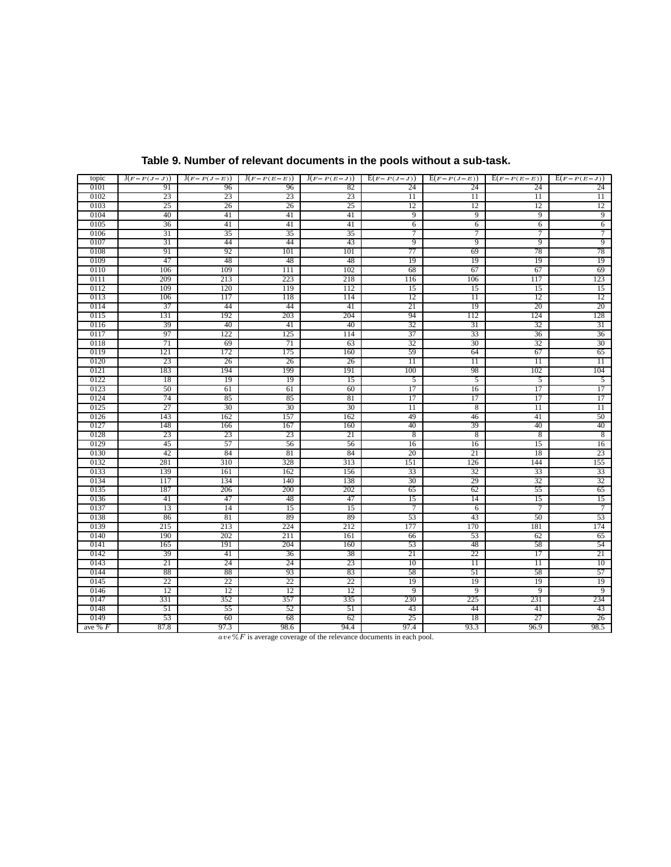| topic        | $J(F-P(J-J))$ | $J(F-P(J-E))$ | $J(F-P(E-E))$ | $J(F-P(E-J))$ | $E(F-P(J-J))$   | $E(F - P(J - E))$    | $E(F - P(E - E))$ | $\overline{E(F-P(E-J))}$ |
|--------------|---------------|---------------|---------------|---------------|-----------------|----------------------|-------------------|--------------------------|
| 0101         | 91            | 96            | 96            | 82            | 24              | 24                   | 24                | 24                       |
| 0102         | 23            | 23            | 23            | 23            | $\overline{11}$ | $\overline{11}$      | $\overline{11}$   | 11                       |
| 0103         | 25            | 26            | 26            | 25            | 12              | 12                   | 12                | 12                       |
| 0104         | 40            | 41            | 41            | 41            | 9               | 9                    | 9                 | 9                        |
| 0105         | 36            | 41            | 41            | 41            | 6               | 6                    | 6                 | 6                        |
| 0106         | 31            | 35            | 35            | 35            | 7               | 7                    | 7                 | $\overline{7}$           |
| 0107         | 31            | 44            | 44            | 43            | 9               | 9                    | 9                 | 9                        |
| 0108         | 91            | 92            | 101           | 101           | 77              | 69                   | 78                | 78                       |
| 0109         | 47            | 48            | 48            | 48            | 19              | 19                   | 19                | 19                       |
| 0110         | 106           | 109           | 111           | 102           | 68              | 67                   | 67                | 69                       |
| 0111         | 209           | 213           | 223           | 218           | 116             | 106                  | 117               | 123                      |
| 0112         | 109           | 120           | 119           | 112           | 15              | 15                   | 15                | 15                       |
| 0113         | 106           | 117           | 118           | 114           | 12              | $\overline{11}$      | 12                | 12                       |
| 0114         | 37            | 44            | 44            | 41            | 21              | 19                   | 20                | 20                       |
| 0115         | 131           | 192           | 203           | 204           | 94              | 112                  | 124               | 128                      |
| 0116         | 39            | 40            | 41            | 40            | 32              | 31                   | 32                | 31                       |
| 0117         | 97            | 122           | 125           | 114           | 37              | 33                   | 36                | 36                       |
| 0118         | 71            | 69            | 71            | 63            | 32              | 30                   | 32                | 30                       |
| 0119         | 121           | 172           | 175           | 160           | 59              | 64                   | 67                | 65                       |
| 0120         | 23            | 26            | 26            | 26            | $\overline{11}$ | $\overline{11}$      | $\overline{11}$   | $\overline{11}$          |
| 0121         | 183           | 194           | 199           | 191           | 100             | 98                   | 102               | 104                      |
| 0122         | 18            | 19            | 19            | 15            | 5               | $\overline{5}$       | 5                 | 5                        |
| 0123<br>0124 | 50<br>74      | 61<br>85      | 61<br>85      | 60<br>81      | 17<br>17        | 16<br>17             | 17<br>17          | 17<br>17                 |
| 0125         | 27            | 30            | 30            | 30            | 11              |                      | $\overline{11}$   | $\overline{11}$          |
| 0126         | 143           | 162           | 157           | 162           | 49              | $\overline{8}$<br>46 | 41                | 50                       |
| 0127         | 148           | 166           | 167           | 160           | 40              | 39                   | 40                | 40                       |
| 0128         | 23            | 23            | 23            | 21            | 8               | 8                    | 8                 | 8                        |
| 0129         | 45            | 57            | 56            | 56            | 16              | 16                   | 15                | 16                       |
| 0130         | 42            | 84            | 81            | 84            | 20              | 21                   | 18                | 23                       |
| 0132         | 281           | 310           | 328           | 313           | 151             | 126                  | 144               | 155                      |
| 0133         | 139           | 161           | 162           | 156           | 33              | 32                   | 33                | 33                       |
| 0134         | 117           | 134           | 140           | 138           | 30              | 29                   | 32                | 32                       |
| 0135         | 187           | 206           | 200           | 202           | 65              | 62                   | 55                | 65                       |
| 0136         | 41            | 47            | 48            | 47            | 15              | 14                   | 15                | 15                       |
| 0137         | 13            | 14            | 15            | 15            | 7               | 6                    | 7                 | $\overline{7}$           |
| 0138         | 86            | 81            | 89            | 89            | 53              | 43                   | 50                | 53                       |
| 0139         | 215           | 213           | 224           | 212           | 177             | 170                  | 181               | 174                      |
| 0140         | 190           | 202           | 211           | 161           | 66              | 53                   | 62                | 65                       |
| 0141         | 165           | 191           | 204           | 160           | 53              | 48                   | 58                | 54                       |
| 0142         | 39            | 41            | 36            | 38            | 21              | 22                   | 17                | 21                       |
| 0143         | 21            | 24            | 24            | 23            | 10              | $\overline{11}$      | $\overline{11}$   | 10                       |
| 0144         | 88            | 88            | 93            | 83            | 58              | 51                   | 58                | 57                       |
| 0145         | 22            | 22            | 22            | 22            | 19              | 19                   | 19                | 19                       |
| 0146         | 12            | 12            | 12            | 12            | 9               | 9                    | 9                 | 9                        |
| 0147         | 331           | 352           | 357           | 335           | 230             | 225                  | 231               | 234                      |
| 0148         | 51            | 55            | 52            | 51            | 43              | 44                   | 41                | 43                       |
| 0149         | 53            | 60            | 68            | 62            | 25              | 18                   | 27                | 26                       |
| ave % $F$    | 87.8          | 97.3          | 98.6          | 94.4          | 97.4            | 93.3                 | 96.9              | 98.5                     |

# **Table 9. Number of relevant documents in the pools without a sub-task.**

 $\overline{ave\%F}$  is average coverage of the relevance documents in each pool.